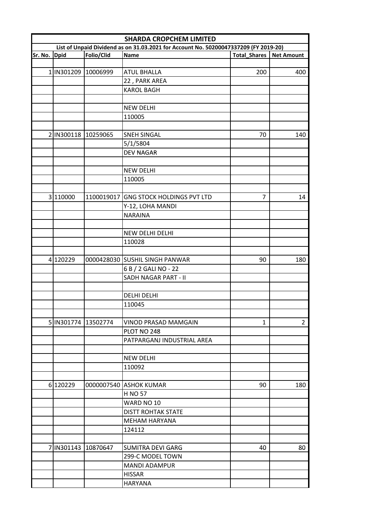|                                                                                      | <b>SHARDA CROPCHEM LIMITED</b> |            |                                       |                                  |                |  |  |
|--------------------------------------------------------------------------------------|--------------------------------|------------|---------------------------------------|----------------------------------|----------------|--|--|
| List of Unpaid Dividend as on 31.03.2021 for Account No. 50200047337209 (FY 2019-20) |                                |            |                                       |                                  |                |  |  |
| Sr. No. Dpid                                                                         |                                | Folio/Clid | Name                                  | <b>Total_Shares   Net Amount</b> |                |  |  |
|                                                                                      |                                |            |                                       |                                  |                |  |  |
|                                                                                      | 1 IN301209 10006999            |            | <b>ATUL BHALLA</b>                    | 200                              | 400            |  |  |
|                                                                                      |                                |            | 22, PARK AREA                         |                                  |                |  |  |
|                                                                                      |                                |            | <b>KAROL BAGH</b>                     |                                  |                |  |  |
|                                                                                      |                                |            |                                       |                                  |                |  |  |
|                                                                                      |                                |            | <b>NEW DELHI</b>                      |                                  |                |  |  |
|                                                                                      |                                |            | 110005                                |                                  |                |  |  |
|                                                                                      |                                |            |                                       |                                  |                |  |  |
|                                                                                      | 2 IN300118 10259065            |            | <b>SNEH SINGAL</b>                    | 70                               | 140            |  |  |
|                                                                                      |                                |            | 5/1/5804                              |                                  |                |  |  |
|                                                                                      |                                |            | <b>DEV NAGAR</b>                      |                                  |                |  |  |
|                                                                                      |                                |            |                                       |                                  |                |  |  |
|                                                                                      |                                |            | <b>NEW DELHI</b>                      |                                  |                |  |  |
|                                                                                      |                                |            | 110005                                |                                  |                |  |  |
|                                                                                      |                                |            |                                       |                                  |                |  |  |
|                                                                                      | 3 110000                       |            | 1100019017 GNG STOCK HOLDINGS PVT LTD | 7                                | 14             |  |  |
|                                                                                      |                                |            | Y-12, LOHA MANDI                      |                                  |                |  |  |
|                                                                                      |                                |            | <b>NARAINA</b>                        |                                  |                |  |  |
|                                                                                      |                                |            |                                       |                                  |                |  |  |
|                                                                                      |                                |            | NEW DELHI DELHI                       |                                  |                |  |  |
|                                                                                      |                                |            | 110028                                |                                  |                |  |  |
|                                                                                      |                                |            |                                       |                                  |                |  |  |
|                                                                                      | 4 120229                       |            | 0000428030 SUSHIL SINGH PANWAR        | 90                               | 180            |  |  |
|                                                                                      |                                |            | 6 B / 2 GALI NO - 22                  |                                  |                |  |  |
|                                                                                      |                                |            | SADH NAGAR PART - II                  |                                  |                |  |  |
|                                                                                      |                                |            |                                       |                                  |                |  |  |
|                                                                                      |                                |            | <b>DELHI DELHI</b>                    |                                  |                |  |  |
|                                                                                      |                                |            | 110045                                |                                  |                |  |  |
|                                                                                      |                                |            |                                       |                                  |                |  |  |
|                                                                                      | 5 IN301774 13502774            |            | VINOD PRASAD MAMGAIN                  | $\mathbf{1}$                     | $\overline{2}$ |  |  |
|                                                                                      |                                |            | PLOT NO 248                           |                                  |                |  |  |
|                                                                                      |                                |            | PATPARGANJ INDUSTRIAL AREA            |                                  |                |  |  |
|                                                                                      |                                |            |                                       |                                  |                |  |  |
|                                                                                      |                                |            | <b>NEW DELHI</b>                      |                                  |                |  |  |
|                                                                                      |                                |            | 110092                                |                                  |                |  |  |
|                                                                                      |                                |            |                                       |                                  |                |  |  |
|                                                                                      |                                |            |                                       |                                  |                |  |  |
|                                                                                      | 6 120229                       |            | 0000007540 ASHOK KUMAR                | 90                               | 180            |  |  |
|                                                                                      |                                |            | H NO 57                               |                                  |                |  |  |
|                                                                                      |                                |            | WARD NO 10                            |                                  |                |  |  |
|                                                                                      |                                |            | <b>DISTT ROHTAK STATE</b>             |                                  |                |  |  |
|                                                                                      |                                |            | MEHAM HARYANA                         |                                  |                |  |  |
|                                                                                      |                                |            | 124112                                |                                  |                |  |  |
|                                                                                      |                                |            |                                       |                                  |                |  |  |
|                                                                                      | 7 IN301143 10870647            |            | <b>SUMITRA DEVI GARG</b>              | 40                               | 80             |  |  |
|                                                                                      |                                |            | 299-C MODEL TOWN                      |                                  |                |  |  |
|                                                                                      |                                |            | <b>MANDI ADAMPUR</b>                  |                                  |                |  |  |
|                                                                                      |                                |            | <b>HISSAR</b>                         |                                  |                |  |  |
|                                                                                      |                                |            | <b>HARYANA</b>                        |                                  |                |  |  |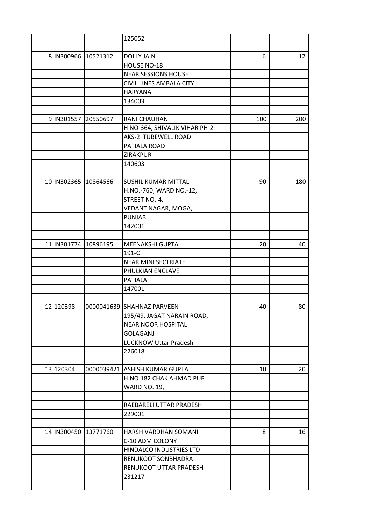|                      | 125052                          |     |     |
|----------------------|---------------------------------|-----|-----|
|                      |                                 |     |     |
| 8 IN300966 10521312  | <b>DOLLY JAIN</b>               | 6   | 12  |
|                      | HOUSE NO-18                     |     |     |
|                      | <b>NEAR SESSIONS HOUSE</b>      |     |     |
|                      | CIVIL LINES AMBALA CITY         |     |     |
|                      | <b>HARYANA</b>                  |     |     |
|                      | 134003                          |     |     |
|                      |                                 |     |     |
| 9 IN301557 20550697  | RANI CHAUHAN                    | 100 | 200 |
|                      | H NO-364, SHIVALIK VIHAR PH-2   |     |     |
|                      | AKS-2 TUBEWELL ROAD             |     |     |
|                      | PATIALA ROAD                    |     |     |
|                      | <b>ZIRAKPUR</b>                 |     |     |
|                      | 140603                          |     |     |
|                      |                                 |     |     |
| 10 IN302365 10864566 | SUSHIL KUMAR MITTAL             | 90  | 180 |
|                      | H.NO.-760, WARD NO.-12,         |     |     |
|                      | STREET NO.-4,                   |     |     |
|                      | VEDANT NAGAR, MOGA,             |     |     |
|                      | <b>PUNJAB</b>                   |     |     |
|                      |                                 |     |     |
|                      | 142001                          |     |     |
|                      |                                 |     |     |
| 11 IN301774 10896195 | <b>MEENAKSHI GUPTA</b><br>191-C | 20  | 40  |
|                      |                                 |     |     |
|                      | <b>NEAR MINI SECTRIATE</b>      |     |     |
|                      | PHULKIAN ENCLAVE                |     |     |
|                      | <b>PATIALA</b>                  |     |     |
|                      | 147001                          |     |     |
|                      |                                 |     |     |
| 12 120398            | 0000041639 SHAHNAZ PARVEEN      | 40  | 80  |
|                      | 195/49, JAGAT NARAIN ROAD,      |     |     |
|                      | <b>NEAR NOOR HOSPITAL</b>       |     |     |
|                      | <b>GOLAGANJ</b>                 |     |     |
|                      | <b>LUCKNOW Uttar Pradesh</b>    |     |     |
|                      | 226018                          |     |     |
|                      |                                 |     |     |
| 13 120304            | 0000039421 ASHISH KUMAR GUPTA   | 10  | 20  |
|                      | H.NO.182 CHAK AHMAD PUR         |     |     |
|                      | <b>WARD NO. 19,</b>             |     |     |
|                      |                                 |     |     |
|                      | RAEBARELI UTTAR PRADESH         |     |     |
|                      | 229001                          |     |     |
|                      |                                 |     |     |
| 14 IN300450 13771760 | HARSH VARDHAN SOMANI            | 8   | 16  |
|                      | C-10 ADM COLONY                 |     |     |
|                      | HINDALCO INDUSTRIES LTD         |     |     |
|                      | RENUKOOT SONBHADRA              |     |     |
|                      | RENUKOOT UTTAR PRADESH          |     |     |
|                      | 231217                          |     |     |
|                      |                                 |     |     |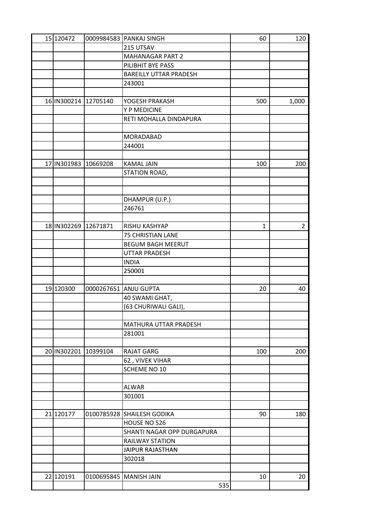| 15 120472             | 0009984583 PANKAJ SINGH       | 60  | 120            |
|-----------------------|-------------------------------|-----|----------------|
|                       | 215 UTSAV                     |     |                |
|                       | <b>MAHANAGAR PART 2</b>       |     |                |
|                       | PILIBHIT BYE PASS             |     |                |
|                       | <b>BAREILLY UTTAR PRADESH</b> |     |                |
|                       | 243001                        |     |                |
|                       |                               |     |                |
| 16 IN300214 12705140  | YOGESH PRAKASH                | 500 | 1,000          |
|                       | Y P MEDICINE                  |     |                |
|                       | RETI MOHALLA DINDAPURA        |     |                |
|                       |                               |     |                |
|                       | MORADABAD                     |     |                |
|                       | 244001                        |     |                |
|                       |                               |     |                |
| 17 IN301983 10669208  | <b>KAMAL JAIN</b>             | 100 | 200            |
|                       | STATION ROAD,                 |     |                |
|                       |                               |     |                |
|                       |                               |     |                |
|                       | DHAMPUR (U.P.)                |     |                |
|                       | 246761                        |     |                |
|                       |                               |     |                |
| 18 IN 302269 12671871 | RISHU KASHYAP                 | 1   | $\overline{2}$ |
|                       | <b>75 CHRISTIAN LANE</b>      |     |                |
|                       | <b>BEGUM BAGH MEERUT</b>      |     |                |
|                       | <b>UTTAR PRADESH</b>          |     |                |
|                       | <b>INDIA</b>                  |     |                |
|                       | 250001                        |     |                |
|                       |                               |     |                |
| 19 120300             | 0000267651 ANJU GUPTA         | 20  | 40             |
|                       | 40 SWAMI GHAT,                |     |                |
|                       | (63 CHURIWALI GALI),          |     |                |
|                       |                               |     |                |
|                       | MATHURA UTTAR PRADESH         |     |                |
|                       | 281001                        |     |                |
|                       |                               |     |                |
| 20 IN302201 10399104  | <b>RAJAT GARG</b>             | 100 | 200            |
|                       | 62, VIVEK VIHAR               |     |                |
|                       | SCHEME NO 10                  |     |                |
|                       |                               |     |                |
|                       | <b>ALWAR</b>                  |     |                |
|                       | 301001                        |     |                |
|                       |                               |     |                |
| 21 120177             | 0100785928 SHAILESH GODIKA    | 90  | 180            |
|                       | HOUSE NO 526                  |     |                |
|                       | SHANTI NAGAR OPP DURGAPURA    |     |                |
|                       | <b>RAILWAY STATION</b>        |     |                |
|                       | <b>JAIPUR RAJASTHAN</b>       |     |                |
|                       | 302018                        |     |                |
|                       |                               |     |                |
| 22 120191             | 0100695845   MANISH JAIN      | 10  | 20             |
|                       | 535                           |     |                |
|                       |                               |     |                |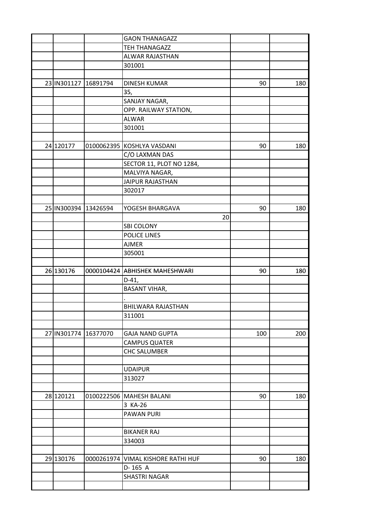|                      | <b>GAON THANAGAZZ</b>              |     |     |
|----------------------|------------------------------------|-----|-----|
|                      | <b>TEH THANAGAZZ</b>               |     |     |
|                      | ALWAR RAJASTHAN                    |     |     |
|                      | 301001                             |     |     |
|                      |                                    |     |     |
| 23 IN301127 16891794 | <b>DINESH KUMAR</b>                | 90  | 180 |
|                      | 35,                                |     |     |
|                      | SANJAY NAGAR,                      |     |     |
|                      | OPP. RAILWAY STATION,              |     |     |
|                      | <b>ALWAR</b>                       |     |     |
|                      | 301001                             |     |     |
|                      |                                    |     |     |
| 24 120177            | 0100062395 KOSHLYA VASDANI         | 90  | 180 |
|                      | C/O LAXMAN DAS                     |     |     |
|                      | SECTOR 11, PLOT NO 1284,           |     |     |
|                      | MALVIYA NAGAR,                     |     |     |
|                      | <b>JAIPUR RAJASTHAN</b>            |     |     |
|                      | 302017                             |     |     |
|                      |                                    |     |     |
| 25 IN300394 13426594 | YOGESH BHARGAVA                    | 90  | 180 |
|                      | 20                                 |     |     |
|                      | <b>SBI COLONY</b>                  |     |     |
|                      | POLICE LINES                       |     |     |
|                      | <b>AJMER</b>                       |     |     |
|                      | 305001                             |     |     |
|                      |                                    |     |     |
| 26 130176            | 0000104424 ABHISHEK MAHESHWARI     | 90  | 180 |
|                      | $D-41,$                            |     |     |
|                      | <b>BASANT VIHAR,</b>               |     |     |
|                      |                                    |     |     |
|                      | BHILWARA RAJASTHAN                 |     |     |
|                      | 311001                             |     |     |
|                      |                                    |     |     |
| 27 IN301774 16377070 | <b>GAJA NAND GUPTA</b>             | 100 | 200 |
|                      | <b>CAMPUS QUATER</b>               |     |     |
|                      | <b>CHC SALUMBER</b>                |     |     |
|                      |                                    |     |     |
|                      | <b>UDAIPUR</b>                     |     |     |
|                      | 313027                             |     |     |
|                      |                                    |     |     |
| 28 120121            | 0100222506 MAHESH BALANI           | 90  | 180 |
|                      | 3 KA-26                            |     |     |
|                      | <b>PAWAN PURI</b>                  |     |     |
|                      |                                    |     |     |
|                      | <b>BIKANER RAJ</b>                 |     |     |
|                      | 334003                             |     |     |
|                      |                                    |     |     |
| 29 130176            | 0000261974 VIMAL KISHORE RATHI HUF | 90  | 180 |
|                      | D-165 A                            |     |     |
|                      | SHASTRI NAGAR                      |     |     |
|                      |                                    |     |     |
|                      |                                    |     |     |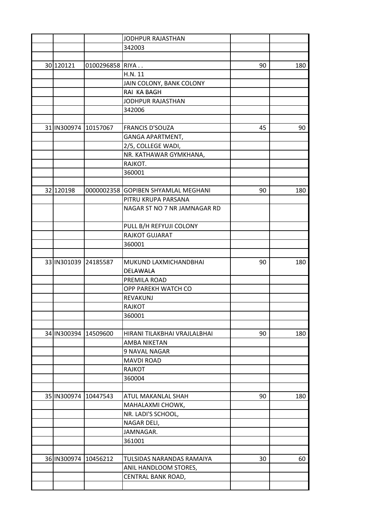|                      |                 | JODHPUR RAJASTHAN                   |    |     |
|----------------------|-----------------|-------------------------------------|----|-----|
|                      |                 | 342003                              |    |     |
|                      |                 |                                     |    |     |
| 30 120121            | 0100296858 RIYA |                                     | 90 | 180 |
|                      |                 | H.N. 11                             |    |     |
|                      |                 | JAIN COLONY, BANK COLONY            |    |     |
|                      |                 | RAI KA BAGH                         |    |     |
|                      |                 | JODHPUR RAJASTHAN                   |    |     |
|                      |                 | 342006                              |    |     |
|                      |                 |                                     |    |     |
| 31 IN300974 10157067 |                 | <b>FRANCIS D'SOUZA</b>              | 45 | 90  |
|                      |                 | GANGA APARTMENT,                    |    |     |
|                      |                 | 2/5, COLLEGE WADI,                  |    |     |
|                      |                 | NR. KATHAWAR GYMKHANA,              |    |     |
|                      |                 | RAJKOT.                             |    |     |
|                      |                 | 360001                              |    |     |
|                      |                 |                                     |    |     |
| 32 120198            |                 | 0000002358 GOPIBEN SHYAMLAL MEGHANI | 90 | 180 |
|                      |                 | PITRU KRUPA PARSANA                 |    |     |
|                      |                 | NAGAR ST NO 7 NR JAMNAGAR RD        |    |     |
|                      |                 |                                     |    |     |
|                      |                 | PULL B/H REFYUJI COLONY             |    |     |
|                      |                 | RAJKOT GUJARAT                      |    |     |
|                      |                 | 360001                              |    |     |
|                      |                 |                                     |    |     |
| 33 IN301039 24185587 |                 | MUKUND LAXMICHANDBHAI               | 90 | 180 |
|                      |                 | DELAWALA                            |    |     |
|                      |                 | PREMILA ROAD                        |    |     |
|                      |                 | OPP PAREKH WATCH CO                 |    |     |
|                      |                 | REVAKUNJ                            |    |     |
|                      |                 | <b>RAJKOT</b>                       |    |     |
|                      |                 | 360001                              |    |     |
|                      |                 |                                     |    |     |
| 34 IN300394          | 14509600        | HIRANI TILAKBHAI VRAJLALBHAI        | 90 | 180 |
|                      |                 | AMBA NIKETAN                        |    |     |
|                      |                 | 9 NAVAL NAGAR                       |    |     |
|                      |                 | <b>MAVDI ROAD</b>                   |    |     |
|                      |                 | RAJKOT                              |    |     |
|                      |                 | 360004                              |    |     |
|                      |                 |                                     |    |     |
| 35 IN300974          | 10447543        | ATUL MAKANLAL SHAH                  | 90 | 180 |
|                      |                 | MAHALAXMI CHOWK,                    |    |     |
|                      |                 |                                     |    |     |
|                      |                 | NR. LADI'S SCHOOL,                  |    |     |
|                      |                 | NAGAR DELI,<br>JAMNAGAR.            |    |     |
|                      |                 |                                     |    |     |
|                      |                 | 361001                              |    |     |
| 36 IN300974 10456212 |                 | TULSIDAS NARANDAS RAMAIYA           | 30 | 60  |
|                      |                 |                                     |    |     |
|                      |                 | ANIL HANDLOOM STORES,               |    |     |
|                      |                 | CENTRAL BANK ROAD,                  |    |     |
|                      |                 |                                     |    |     |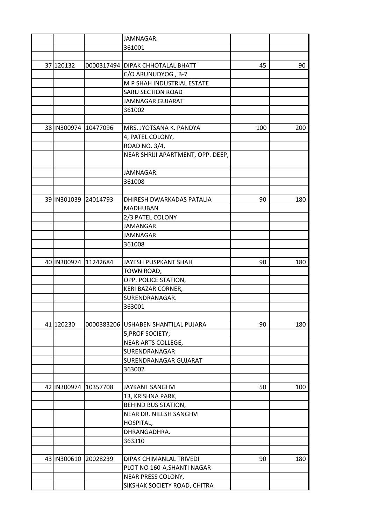|                      | JAMNAGAR.                           |     |     |
|----------------------|-------------------------------------|-----|-----|
|                      | 361001                              |     |     |
|                      |                                     |     |     |
| 37 120132            | 0000317494 DIPAK CHHOTALAL BHATT    | 45  | 90  |
|                      | C/O ARUNUDYOG, B-7                  |     |     |
|                      | M P SHAH INDUSTRIAL ESTATE          |     |     |
|                      | <b>SARU SECTION ROAD</b>            |     |     |
|                      | JAMNAGAR GUJARAT                    |     |     |
|                      | 361002                              |     |     |
|                      |                                     |     |     |
| 38 IN300974 10477096 | MRS. JYOTSANA K. PANDYA             | 100 | 200 |
|                      | 4, PATEL COLONY,                    |     |     |
|                      | ROAD NO. 3/4,                       |     |     |
|                      | NEAR SHRIJI APARTMENT, OPP. DEEP,   |     |     |
|                      |                                     |     |     |
|                      | JAMNAGAR.                           |     |     |
|                      | 361008                              |     |     |
|                      |                                     |     |     |
| 39 IN301039 24014793 | DHIRESH DWARKADAS PATALIA           |     |     |
|                      | <b>MADHUBAN</b>                     | 90  | 180 |
|                      |                                     |     |     |
|                      | 2/3 PATEL COLONY                    |     |     |
|                      | <b>JAMANGAR</b>                     |     |     |
|                      | <b>JAMNAGAR</b>                     |     |     |
|                      | 361008                              |     |     |
|                      |                                     |     |     |
| 40 IN300974 11242684 | JAYESH PUSPKANT SHAH                | 90  | 180 |
|                      | TOWN ROAD,                          |     |     |
|                      | OPP. POLICE STATION,                |     |     |
|                      | KERI BAZAR CORNER,                  |     |     |
|                      | SURENDRANAGAR.                      |     |     |
|                      | 363001                              |     |     |
|                      |                                     |     |     |
| 41 120230            | 0000383206 USHABEN SHANTILAL PUJARA | 90  | 180 |
|                      | 5, PROF SOCIETY,                    |     |     |
|                      | NEAR ARTS COLLEGE,                  |     |     |
|                      | SURENDRANAGAR                       |     |     |
|                      | SURENDRANAGAR GUJARAT               |     |     |
|                      | 363002                              |     |     |
|                      |                                     |     |     |
| 42 IN300974 10357708 | <b>JAYKANT SANGHVI</b>              | 50  | 100 |
|                      | 13, KRISHNA PARK,                   |     |     |
|                      | BEHIND BUS STATION,                 |     |     |
|                      | NEAR DR. NILESH SANGHVI             |     |     |
|                      | HOSPITAL,                           |     |     |
|                      | DHRANGADHRA.                        |     |     |
|                      | 363310                              |     |     |
|                      |                                     |     |     |
| 43 IN300610 20028239 | DIPAK CHIMANLAL TRIVEDI             | 90  | 180 |
|                      | PLOT NO 160-A, SHANTI NAGAR         |     |     |
|                      | NEAR PRESS COLONY,                  |     |     |
|                      | SIKSHAK SOCIETY ROAD, CHITRA        |     |     |
|                      |                                     |     |     |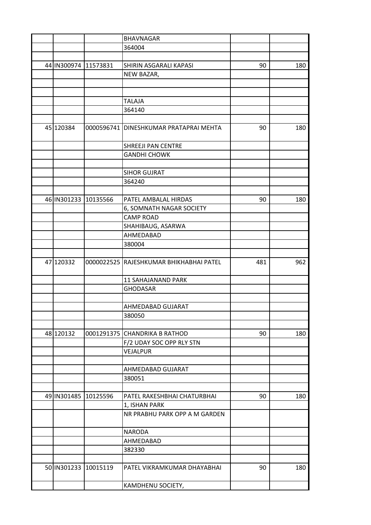|                      |                      | <b>BHAVNAGAR</b>                        |     |     |
|----------------------|----------------------|-----------------------------------------|-----|-----|
|                      |                      | 364004                                  |     |     |
|                      |                      |                                         |     |     |
| 44 IN300974 11573831 |                      | SHIRIN ASGARALI KAPASI                  | 90  | 180 |
|                      |                      | NEW BAZAR,                              |     |     |
|                      |                      |                                         |     |     |
|                      |                      |                                         |     |     |
|                      |                      | <b>TALAJA</b>                           |     |     |
|                      |                      | 364140                                  |     |     |
|                      |                      |                                         |     |     |
| 45 120384            |                      | 0000596741 DINESHKUMAR PRATAPRAI MEHTA  | 90  | 180 |
|                      |                      |                                         |     |     |
|                      |                      | SHREEJI PAN CENTRE                      |     |     |
|                      |                      |                                         |     |     |
|                      |                      | <b>GANDHI CHOWK</b>                     |     |     |
|                      |                      |                                         |     |     |
|                      |                      | <b>SIHOR GUJRAT</b>                     |     |     |
|                      |                      | 364240                                  |     |     |
|                      |                      |                                         |     |     |
| 46 IN301233 10135566 |                      | PATEL AMBALAL HIRDAS                    | 90  | 180 |
|                      |                      | 6, SOMNATH NAGAR SOCIETY                |     |     |
|                      |                      | <b>CAMP ROAD</b>                        |     |     |
|                      |                      | SHAHIBAUG, ASARWA                       |     |     |
|                      |                      | AHMEDABAD                               |     |     |
|                      |                      | 380004                                  |     |     |
|                      |                      |                                         |     |     |
| 47 120332            |                      | 0000022525 RAJESHKUMAR BHIKHABHAI PATEL | 481 | 962 |
|                      |                      |                                         |     |     |
|                      |                      | 11 SAHAJANAND PARK                      |     |     |
|                      |                      | <b>GHODASAR</b>                         |     |     |
|                      |                      |                                         |     |     |
|                      |                      | AHMEDABAD GUJARAT                       |     |     |
|                      |                      | 380050                                  |     |     |
|                      |                      |                                         |     |     |
| 48 120132            |                      | 0001291375 CHANDRIKA B RATHOD           | 90  | 180 |
|                      |                      | F/2 UDAY SOC OPP RLY STN                |     |     |
|                      |                      | VEJALPUR                                |     |     |
|                      |                      |                                         |     |     |
|                      |                      | AHMEDABAD GUJARAT                       |     |     |
|                      |                      | 380051                                  |     |     |
|                      |                      |                                         |     |     |
|                      | 49 IN301485 10125596 |                                         | 90  |     |
|                      |                      | PATEL RAKESHBHAI CHATURBHAI             |     | 180 |
|                      |                      | 1, ISHAN PARK                           |     |     |
|                      |                      | NR PRABHU PARK OPP A M GARDEN           |     |     |
|                      |                      |                                         |     |     |
|                      |                      | <b>NARODA</b>                           |     |     |
|                      |                      | AHMEDABAD                               |     |     |
|                      |                      | 382330                                  |     |     |
|                      |                      |                                         |     |     |
|                      | 50 IN301233 10015119 | PATEL VIKRAMKUMAR DHAYABHAI             | 90  | 180 |
|                      |                      | KAMDHENU SOCIETY,                       |     |     |
|                      |                      |                                         |     |     |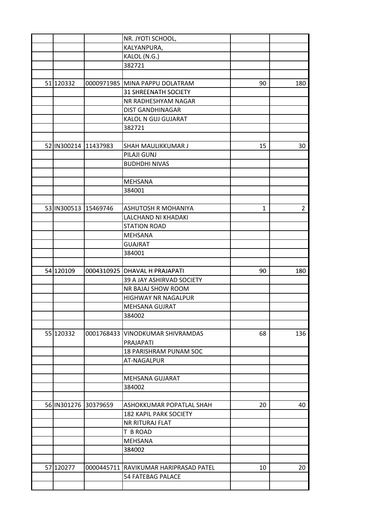|                      | NR. JYOTI SCHOOL,                     |              |                |
|----------------------|---------------------------------------|--------------|----------------|
|                      | KALYANPURA,                           |              |                |
|                      | KALOL (N.G.)                          |              |                |
|                      | 382721                                |              |                |
|                      |                                       |              |                |
| 51 120332            | 0000971985 MINA PAPPU DOLATRAM        | 90           | 180            |
|                      | <b>31 SHREENATH SOCIETY</b>           |              |                |
|                      | NR RADHESHYAM NAGAR                   |              |                |
|                      | <b>DIST GANDHINAGAR</b>               |              |                |
|                      | KALOL N GUJ GUJARAT                   |              |                |
|                      | 382721                                |              |                |
|                      |                                       |              |                |
| 52 IN300214 11437983 | SHAH MAULIKKUMAR J                    | 15           | 30             |
|                      | PILAJI GUNJ                           |              |                |
|                      | <b>BUDHDHI NIVAS</b>                  |              |                |
|                      |                                       |              |                |
|                      | <b>MEHSANA</b>                        |              |                |
|                      | 384001                                |              |                |
|                      |                                       |              |                |
| 53 IN300513 15469746 | <b>ASHUTOSH R MOHANIYA</b>            | $\mathbf{1}$ | $\overline{2}$ |
|                      | LALCHAND NI KHADAKI                   |              |                |
|                      | <b>STATION ROAD</b>                   |              |                |
|                      | <b>MEHSANA</b>                        |              |                |
|                      | <b>GUAJRAT</b>                        |              |                |
|                      | 384001                                |              |                |
|                      |                                       |              |                |
| 54 120109            | 0004310925 DHAVAL H PRAJAPATI         | 90           | 180            |
|                      | 39 A JAY ASHIRVAD SOCIETY             |              |                |
|                      | NR BAJAJ SHOW ROOM                    |              |                |
|                      | <b>HIGHWAY NR NAGALPUR</b>            |              |                |
|                      | <b>MEHSANA GUJRAT</b>                 |              |                |
|                      | 384002                                |              |                |
|                      |                                       |              |                |
| 55 120332            | 0001768433   VINODKUMAR SHIVRAMDAS    | 68           | 136            |
|                      | <b>PRAJAPATI</b>                      |              |                |
|                      | 18 PARISHRAM PUNAM SOC                |              |                |
|                      | AT-NAGALPUR                           |              |                |
|                      |                                       |              |                |
|                      | MEHSANA GUJARAT                       |              |                |
|                      | 384002                                |              |                |
|                      |                                       |              |                |
| 56 IN301276 30379659 | ASHOKKUMAR POPATLAL SHAH              | 20           | 40             |
|                      | <b>182 KAPIL PARK SOCIETY</b>         |              |                |
|                      | NR RITURAJ FLAT                       |              |                |
|                      | T B ROAD                              |              |                |
|                      | MEHSANA                               |              |                |
|                      | 384002                                |              |                |
|                      |                                       |              |                |
| 57 120277            | 0000445711 RAVIKUMAR HARIPRASAD PATEL | 10           | 20             |
|                      | 54 FATEBAG PALACE                     |              |                |
|                      |                                       |              |                |
|                      |                                       |              |                |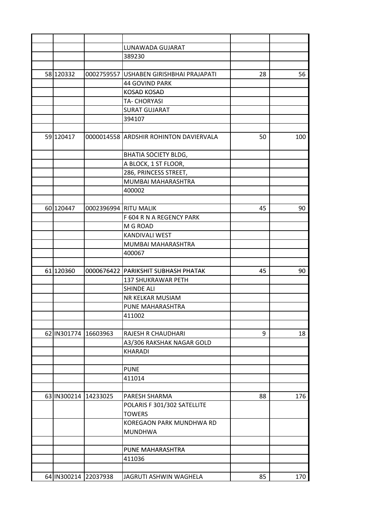|                      |                       | LUNAWADA GUJARAT                       |    |     |
|----------------------|-----------------------|----------------------------------------|----|-----|
|                      |                       | 389230                                 |    |     |
|                      |                       |                                        |    |     |
| 58 120332            | 0002759557            | USHABEN GIRISHBHAI PRAJAPATI           | 28 | 56  |
|                      |                       | 44 GOVIND PARK                         |    |     |
|                      |                       | <b>KOSAD KOSAD</b>                     |    |     |
|                      |                       | TA- CHORYASI                           |    |     |
|                      |                       | <b>SURAT GUJARAT</b>                   |    |     |
|                      |                       | 394107                                 |    |     |
|                      |                       |                                        |    |     |
| 59 120417            |                       | 0000014558 ARDSHIR ROHINTON DAVIERVALA | 50 | 100 |
|                      |                       | <b>BHATIA SOCIETY BLDG,</b>            |    |     |
|                      |                       | A BLOCK, 1 ST FLOOR,                   |    |     |
|                      |                       | 286, PRINCESS STREET,                  |    |     |
|                      |                       | MUMBAI MAHARASHTRA                     |    |     |
|                      |                       | 400002                                 |    |     |
|                      |                       |                                        |    |     |
| 60 120447            | 0002396994 RITU MALIK |                                        | 45 | 90  |
|                      |                       | F 604 R N A REGENCY PARK               |    |     |
|                      |                       | M G ROAD                               |    |     |
|                      |                       | <b>KANDIVALI WEST</b>                  |    |     |
|                      |                       | MUMBAI MAHARASHTRA                     |    |     |
|                      |                       | 400067                                 |    |     |
|                      |                       |                                        |    |     |
| 61 120360            |                       | 0000676422 PARIKSHIT SUBHASH PHATAK    | 45 | 90  |
|                      |                       | 137 SHUKRAWAR PETH                     |    |     |
|                      |                       | <b>SHINDE ALI</b>                      |    |     |
|                      |                       | NR KELKAR MUSIAM                       |    |     |
|                      |                       | PUNE MAHARASHTRA                       |    |     |
|                      |                       | 411002                                 |    |     |
|                      |                       |                                        |    |     |
| 62 IN301774 16603963 |                       | RAJESH R CHAUDHARI                     | 9  | 18  |
|                      |                       | A3/306 RAKSHAK NAGAR GOLD              |    |     |
|                      |                       | <b>KHARADI</b>                         |    |     |
|                      |                       |                                        |    |     |
|                      |                       | <b>PUNE</b>                            |    |     |
|                      |                       | 411014                                 |    |     |
|                      |                       |                                        |    |     |
| 63 IN300214 14233025 |                       | PARESH SHARMA                          | 88 | 176 |
|                      |                       | POLARIS F 301/302 SATELLITE            |    |     |
|                      |                       | <b>TOWERS</b>                          |    |     |
|                      |                       | KOREGAON PARK MUNDHWA RD               |    |     |
|                      |                       | <b>MUNDHWA</b>                         |    |     |
|                      |                       |                                        |    |     |
|                      |                       | PUNE MAHARASHTRA                       |    |     |
|                      |                       | 411036                                 |    |     |
|                      |                       |                                        |    |     |
|                      | 64 IN300214 22037938  | JAGRUTI ASHWIN WAGHELA                 | 85 | 170 |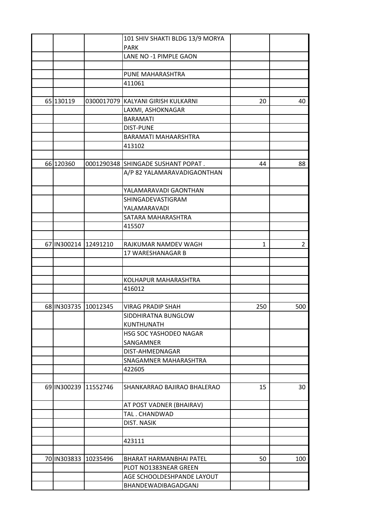|                      |                      | 101 SHIV SHAKTI BLDG 13/9 MORYA    |     |                |
|----------------------|----------------------|------------------------------------|-----|----------------|
|                      |                      | <b>PARK</b>                        |     |                |
|                      |                      | LANE NO -1 PIMPLE GAON             |     |                |
|                      |                      |                                    |     |                |
|                      |                      | PUNE MAHARASHTRA                   |     |                |
|                      |                      | 411061                             |     |                |
|                      |                      |                                    |     |                |
| 65 130119            |                      | 0300017079 KALYANI GIRISH KULKARNI | 20  | 40             |
|                      |                      | LAXMI, ASHOKNAGAR                  |     |                |
|                      |                      | <b>BARAMATI</b>                    |     |                |
|                      |                      | <b>DIST-PUNE</b>                   |     |                |
|                      |                      | BARAMATI MAHAARSHTRA               |     |                |
|                      |                      | 413102                             |     |                |
|                      |                      |                                    |     |                |
| 66 120360            |                      | 0001290348 SHINGADE SUSHANT POPAT. | 44  | 88             |
|                      |                      | A/P 82 YALAMARAVADIGAONTHAN        |     |                |
|                      |                      |                                    |     |                |
|                      |                      | YALAMARAVADI GAONTHAN              |     |                |
|                      |                      | SHINGADEVASTIGRAM                  |     |                |
|                      |                      | YALAMARAVADI                       |     |                |
|                      |                      | SATARA MAHARASHTRA                 |     |                |
|                      |                      | 415507                             |     |                |
|                      |                      |                                    |     |                |
| 67 IN300214 12491210 |                      | RAJKUMAR NAMDEV WAGH               | 1   | $\overline{2}$ |
|                      |                      | 17 WARESHANAGAR B                  |     |                |
|                      |                      |                                    |     |                |
|                      |                      |                                    |     |                |
|                      |                      | KOLHAPUR MAHARASHTRA               |     |                |
|                      |                      | 416012                             |     |                |
|                      |                      |                                    |     |                |
| 68 IN303735 10012345 |                      | <b>VIRAG PRADIP SHAH</b>           | 250 | 500            |
|                      |                      | SIDDHIRATNA BUNGLOW                |     |                |
|                      |                      | <b>KUNTHUNATH</b>                  |     |                |
|                      |                      | HSG SOC YASHODEO NAGAR             |     |                |
|                      |                      | SANGAMNER                          |     |                |
|                      |                      | DIST-AHMEDNAGAR                    |     |                |
|                      |                      | SNAGAMNER MAHARASHTRA              |     |                |
|                      |                      | 422605                             |     |                |
|                      |                      |                                    |     |                |
|                      | 69 IN300239 11552746 | SHANKARRAO BAJIRAO BHALERAO        | 15  | 30             |
|                      |                      |                                    |     |                |
|                      |                      | AT POST VADNER (BHAIRAV)           |     |                |
|                      |                      | TAL. CHANDWAD                      |     |                |
|                      |                      | DIST. NASIK                        |     |                |
|                      |                      | 423111                             |     |                |
|                      |                      |                                    |     |                |
| 70 IN303833 10235496 |                      | BHARAT HARMANBHAI PATEL            | 50  | 100            |
|                      |                      | PLOT NO1383NEAR GREEN              |     |                |
|                      |                      | AGE SCHOOLDESHPANDE LAYOUT         |     |                |
|                      |                      | BHANDEWADIBAGADGANJ                |     |                |
|                      |                      |                                    |     |                |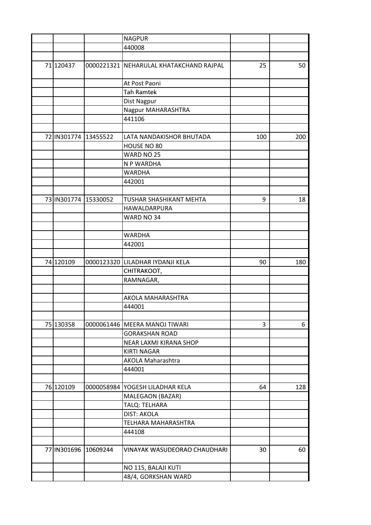|                      | <b>NAGPUR</b>                           |     |     |
|----------------------|-----------------------------------------|-----|-----|
|                      | 440008                                  |     |     |
|                      |                                         |     |     |
| 71 120437            | 0000221321 NEHARULAL KHATAKCHAND RAJPAL | 25  | 50  |
|                      | At Post Paoni                           |     |     |
|                      | <b>Tah Ramtek</b>                       |     |     |
|                      | Dist Nagpur                             |     |     |
|                      | Nagpur MAHARASHTRA                      |     |     |
|                      | 441106                                  |     |     |
|                      |                                         |     |     |
| 72 IN301774 13455522 | LATA NANDAKISHOR BHUTADA                | 100 | 200 |
|                      | HOUSE NO 80                             |     |     |
|                      | WARD NO 25                              |     |     |
|                      | N P WARDHA                              |     |     |
|                      | <b>WARDHA</b>                           |     |     |
|                      | 442001                                  |     |     |
|                      |                                         |     |     |
| 73 IN301774 15330052 | TUSHAR SHASHIKANT MEHTA                 | 9   | 18  |
|                      | HAWALDARPURA                            |     |     |
|                      | WARD NO 34                              |     |     |
|                      |                                         |     |     |
|                      | <b>WARDHA</b>                           |     |     |
|                      | 442001                                  |     |     |
|                      |                                         |     |     |
| 74 120109            | 0000123320 LILADHAR IYDANJI KELA        | 90  | 180 |
|                      | CHITRAKOOT,                             |     |     |
|                      | RAMNAGAR,                               |     |     |
|                      |                                         |     |     |
|                      | AKOLA MAHARASHTRA                       |     |     |
|                      | 444001                                  |     |     |
|                      |                                         |     |     |
| 75 130358            | 0000061446 MEERA MANOJ TIWARI           | 3   | 6   |
|                      |                                         |     |     |
|                      | <b>GORAKSHAN ROAD</b>                   |     |     |
|                      | NEAR LAXMI KIRANA SHOP                  |     |     |
|                      | <b>KIRTI NAGAR</b>                      |     |     |
|                      | AKOLA Maharashtra                       |     |     |
|                      | 444001                                  |     |     |
|                      |                                         |     |     |
| 76 120109            | 0000058984 YOGESH LILADHAR KELA         | 64  | 128 |
|                      | MALEGAON (BAZAR)                        |     |     |
|                      | TALQ: TELHARA                           |     |     |
|                      | <b>DIST: AKOLA</b>                      |     |     |
|                      | TELHARA MAHARASHTRA                     |     |     |
|                      | 444108                                  |     |     |
|                      |                                         |     |     |
| 77 IN301696 10609244 | VINAYAK WASUDEORAO CHAUDHARI            | 30  | 60  |
|                      | NO 115, BALAJI KUTI                     |     |     |
|                      | 48/4, GORKSHAN WARD                     |     |     |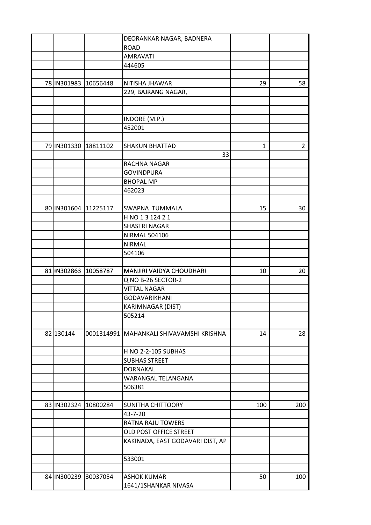|                      | DEORANKAR NAGAR, BADNERA                   |              |                |
|----------------------|--------------------------------------------|--------------|----------------|
|                      | <b>ROAD</b>                                |              |                |
|                      | <b>AMRAVATI</b>                            |              |                |
|                      | 444605                                     |              |                |
|                      |                                            |              |                |
| 78 IN301983 10656448 | NITISHA JHAWAR                             | 29           | 58             |
|                      | 229, BAJRANG NAGAR,                        |              |                |
|                      |                                            |              |                |
|                      |                                            |              |                |
|                      | INDORE (M.P.)                              |              |                |
|                      | 452001                                     |              |                |
|                      |                                            |              |                |
| 79 IN301330 18811102 | <b>SHAKUN BHATTAD</b>                      | $\mathbf{1}$ | $\overline{2}$ |
|                      | 33                                         |              |                |
|                      | RACHNA NAGAR                               |              |                |
|                      | <b>GOVINDPURA</b>                          |              |                |
|                      | <b>BHOPAL MP</b>                           |              |                |
|                      | 462023                                     |              |                |
|                      |                                            |              |                |
| 80 IN301604 11225117 | SWAPNA TUMMALA                             | 15           | 30             |
|                      | H NO 1 3 124 2 1                           |              |                |
|                      | <b>SHASTRI NAGAR</b>                       |              |                |
|                      | <b>NIRMAL 504106</b>                       |              |                |
|                      | <b>NIRMAL</b>                              |              |                |
|                      | 504106                                     |              |                |
|                      |                                            |              |                |
| 81 IN302863 10058787 | MANJIRI VAIDYA CHOUDHARI                   | 10           | 20             |
|                      | Q NO B-26 SECTOR-2                         |              |                |
|                      | <b>VITTAL NAGAR</b>                        |              |                |
|                      | <b>GODAVARIKHANI</b>                       |              |                |
|                      | KARIMNAGAR (DIST)                          |              |                |
|                      | 505214                                     |              |                |
|                      |                                            |              |                |
| 82 130144            | 0001314991   MAHANKALI SHIVAVAMSHI KRISHNA | 14           | 28             |
|                      |                                            |              |                |
|                      | H NO 2-2-105 SUBHAS                        |              |                |
|                      | <b>SUBHAS STREET</b>                       |              |                |
|                      | <b>DORNAKAL</b>                            |              |                |
|                      | WARANGAL TELANGANA                         |              |                |
|                      | 506381                                     |              |                |
|                      |                                            |              |                |
| 83 IN302324 10800284 | SUNITHA CHITTOORY                          | 100          | 200            |
|                      | 43-7-20                                    |              |                |
|                      | RATNA RAJU TOWERS                          |              |                |
|                      | OLD POST OFFICE STREET                     |              |                |
|                      | KAKINADA, EAST GODAVARI DIST, AP           |              |                |
|                      | 533001                                     |              |                |
|                      |                                            |              |                |
| 84 IN300239 30037054 | <b>ASHOK KUMAR</b>                         | 50           | 100            |
|                      | 1641/1SHANKAR NIVASA                       |              |                |
|                      |                                            |              |                |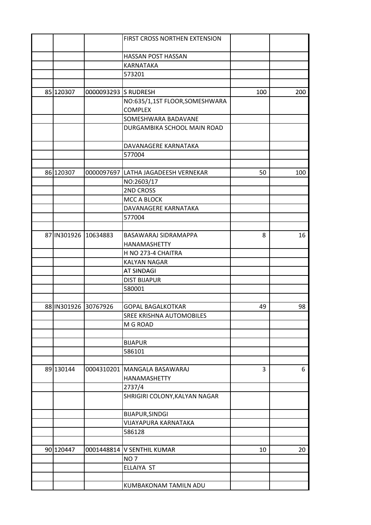|           |                      | FIRST CROSS NORTHEN EXTENSION       |     |     |
|-----------|----------------------|-------------------------------------|-----|-----|
|           |                      |                                     |     |     |
|           |                      | HASSAN POST HASSAN                  |     |     |
|           |                      | KARNATAKA                           |     |     |
|           |                      | 573201                              |     |     |
|           |                      |                                     |     |     |
| 85 120307 | 0000093293 S RUDRESH |                                     | 100 | 200 |
|           |                      | NO:635/1,1ST FLOOR, SOMESHWARA      |     |     |
|           |                      | <b>COMPLEX</b>                      |     |     |
|           |                      | SOMESHWARA BADAVANE                 |     |     |
|           |                      | DURGAMBIKA SCHOOL MAIN ROAD         |     |     |
|           |                      |                                     |     |     |
|           |                      | DAVANAGERE KARNATAKA                |     |     |
|           |                      | 577004                              |     |     |
|           |                      |                                     |     |     |
| 86 120307 |                      | 0000097697 LATHA JAGADEESH VERNEKAR | 50  | 100 |
|           |                      | NO:2603/17                          |     |     |
|           |                      | 2ND CROSS                           |     |     |
|           |                      | MCC A BLOCK                         |     |     |
|           |                      | DAVANAGERE KARNATAKA                |     |     |
|           |                      | 577004                              |     |     |
|           |                      |                                     |     |     |
|           | 87 IN301926 10634883 | BASAWARAJ SIDRAMAPPA                | 8   | 16  |
|           |                      | HANAMASHETTY                        |     |     |
|           |                      |                                     |     |     |
|           |                      | H NO 273-4 CHAITRA                  |     |     |
|           |                      | <b>KALYAN NAGAR</b>                 |     |     |
|           |                      | <b>AT SINDAGI</b>                   |     |     |
|           |                      | <b>DIST BIJAPUR</b>                 |     |     |
|           |                      | 580001                              |     |     |
|           |                      |                                     |     |     |
|           | 88 IN301926 30767926 | <b>GOPAL BAGALKOTKAR</b>            | 49  | 98  |
|           |                      | SREE KRISHNA AUTOMOBILES            |     |     |
|           |                      | M G ROAD                            |     |     |
|           |                      |                                     |     |     |
|           |                      | <b>BIJAPUR</b>                      |     |     |
|           |                      | 586101                              |     |     |
|           |                      |                                     |     |     |
| 89 130144 |                      | 0004310201 MANGALA BASAWARAJ        | 3   | 6   |
|           |                      | HANAMASHETTY                        |     |     |
|           |                      | 2737/4                              |     |     |
|           |                      | SHRIGIRI COLONY, KALYAN NAGAR       |     |     |
|           |                      |                                     |     |     |
|           |                      | BIJAPUR, SINDGI                     |     |     |
|           |                      | VIJAYAPURA KARNATAKA                |     |     |
|           |                      | 586128                              |     |     |
|           |                      |                                     |     |     |
| 90 120447 |                      | 0001448814 V SENTHIL KUMAR          | 10  | 20  |
|           |                      | NO <sub>7</sub>                     |     |     |
|           |                      | ELLAIYA ST                          |     |     |
|           |                      |                                     |     |     |
|           |                      | KUMBAKONAM TAMILN ADU               |     |     |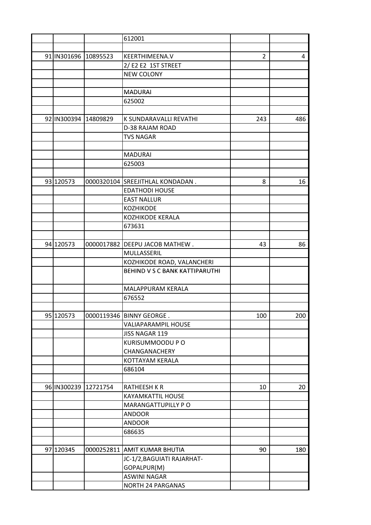|                      | 612001                                                       |                |     |
|----------------------|--------------------------------------------------------------|----------------|-----|
|                      |                                                              |                |     |
| 91 IN301696 10895523 | KEERTHIMEENA.V                                               | $\overline{2}$ | 4   |
|                      | 2/E2 E2 1ST STREET                                           |                |     |
|                      | <b>NEW COLONY</b>                                            |                |     |
|                      |                                                              |                |     |
|                      | <b>MADURAI</b>                                               |                |     |
|                      | 625002                                                       |                |     |
|                      |                                                              |                |     |
| 92 IN300394 14809829 | K SUNDARAVALLI REVATHI                                       | 243            | 486 |
|                      | D-38 RAJAM ROAD                                              |                |     |
|                      | <b>TVS NAGAR</b>                                             |                |     |
|                      |                                                              |                |     |
|                      | <b>MADURAI</b>                                               |                |     |
|                      | 625003                                                       |                |     |
|                      |                                                              |                |     |
| 93 120573            | 0000320104 SREEJITHLAL KONDADAN.                             | 8              | 16  |
|                      | <b>EDATHODI HOUSE</b>                                        |                |     |
|                      | <b>EAST NALLUR</b>                                           |                |     |
|                      | <b>KOZHIKODE</b>                                             |                |     |
|                      | KOZHIKODE KERALA                                             |                |     |
|                      | 673631                                                       |                |     |
|                      |                                                              |                |     |
| 94 120573            | 0000017882   DEEPU JACOB MATHEW.                             | 43             | 86  |
|                      | MULLASSERIL                                                  |                |     |
|                      |                                                              |                |     |
|                      | KOZHIKODE ROAD, VALANCHERI<br>BEHIND V S C BANK KATTIPARUTHI |                |     |
|                      |                                                              |                |     |
|                      |                                                              |                |     |
|                      | MALAPPURAM KERALA                                            |                |     |
|                      | 676552                                                       |                |     |
|                      |                                                              |                |     |
| 95 120573            | 0000119346   BINNY GEORGE.<br><b>VALIAPARAMPIL HOUSE</b>     | 100            | 200 |
|                      |                                                              |                |     |
|                      | JISS NAGAR 119                                               |                |     |
|                      | KURISUMMOODU P O                                             |                |     |
|                      | CHANGANACHERY                                                |                |     |
|                      | KOTTAYAM KERALA                                              |                |     |
|                      | 686104                                                       |                |     |
|                      |                                                              |                |     |
| 96 IN300239 12721754 | <b>RATHEESH K R</b>                                          | 10             | 20  |
|                      | KAYAMKATTIL HOUSE                                            |                |     |
|                      | MARANGATTUPILLY PO                                           |                |     |
|                      | <b>ANDOOR</b>                                                |                |     |
|                      | <b>ANDOOR</b>                                                |                |     |
|                      | 686635                                                       |                |     |
|                      |                                                              |                |     |
| 97 120345            | 0000252811 AMIT KUMAR BHUTIA                                 | 90             | 180 |
|                      | JC-1/2, BAGUIATI RAJARHAT-                                   |                |     |
|                      | GOPALPUR(M)                                                  |                |     |
|                      | ASWINI NAGAR                                                 |                |     |
|                      | <b>NORTH 24 PARGANAS</b>                                     |                |     |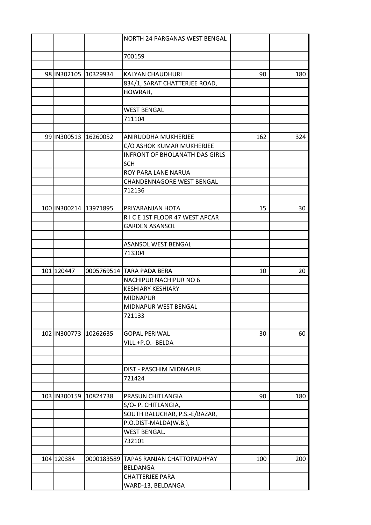|              |                       | NORTH 24 PARGANAS WEST BENGAL         |     |     |
|--------------|-----------------------|---------------------------------------|-----|-----|
|              |                       |                                       |     |     |
|              |                       | 700159                                |     |     |
|              |                       |                                       |     |     |
|              | 98 IN302105 10329934  | <b>KALYAN CHAUDHURI</b>               | 90  | 180 |
|              |                       | 834/1, SARAT CHATTERJEE ROAD,         |     |     |
|              |                       | HOWRAH,                               |     |     |
|              |                       |                                       |     |     |
|              |                       | <b>WEST BENGAL</b>                    |     |     |
|              |                       | 711104                                |     |     |
|              |                       |                                       |     |     |
|              | 99 IN300513 16260052  | ANIRUDDHA MUKHERJEE                   | 162 | 324 |
|              |                       | C/O ASHOK KUMAR MUKHERJEE             |     |     |
|              |                       | <b>INFRONT OF BHOLANATH DAS GIRLS</b> |     |     |
|              |                       | <b>SCH</b>                            |     |     |
|              |                       | ROY PARA LANE NARUA                   |     |     |
|              |                       | <b>CHANDENNAGORE WEST BENGAL</b>      |     |     |
|              |                       |                                       |     |     |
|              |                       | 712136                                |     |     |
|              |                       |                                       |     |     |
|              | 100 IN300214 13971895 | PRIYARANJAN HOTA                      | 15  | 30  |
|              |                       | RICE 1ST FLOOR 47 WEST APCAR          |     |     |
|              |                       | <b>GARDEN ASANSOL</b>                 |     |     |
|              |                       |                                       |     |     |
|              |                       | <b>ASANSOL WEST BENGAL</b>            |     |     |
|              |                       | 713304                                |     |     |
|              |                       |                                       |     |     |
| 101 120447   |                       | 0005769514  TARA PADA BERA            | 10  | 20  |
|              |                       | NACHIPUR NACHIPUR NO 6                |     |     |
|              |                       | <b>KESHIARY KESHIARY</b>              |     |     |
|              |                       | <b>MIDNAPUR</b>                       |     |     |
|              |                       | MIDNAPUR WEST BENGAL                  |     |     |
|              |                       | 721133                                |     |     |
|              |                       |                                       |     |     |
| 102 IN300773 | 10262635              | <b>GOPAL PERIWAL</b>                  | 30  | 60  |
|              |                       | VILL.+P.O.- BELDA                     |     |     |
|              |                       |                                       |     |     |
|              |                       |                                       |     |     |
|              |                       | DIST.- PASCHIM MIDNAPUR               |     |     |
|              |                       | 721424                                |     |     |
|              |                       |                                       |     |     |
|              | 103 IN300159 10824738 | PRASUN CHITLANGIA                     | 90  | 180 |
|              |                       | S/O- P. CHITLANGIA,                   |     |     |
|              |                       | SOUTH BALUCHAR, P.S.-E/BAZAR,         |     |     |
|              |                       | P.O.DIST-MALDA(W.B.),                 |     |     |
|              |                       | <b>WEST BENGAL.</b>                   |     |     |
|              |                       | 732101                                |     |     |
|              |                       |                                       |     |     |
|              |                       |                                       |     |     |
| 104 120384   | 0000183589            | TAPAS RANJAN CHATTOPADHYAY            | 100 | 200 |
|              |                       | <b>BELDANGA</b>                       |     |     |
|              |                       | <b>CHATTERJEE PARA</b>                |     |     |
|              |                       | WARD-13, BELDANGA                     |     |     |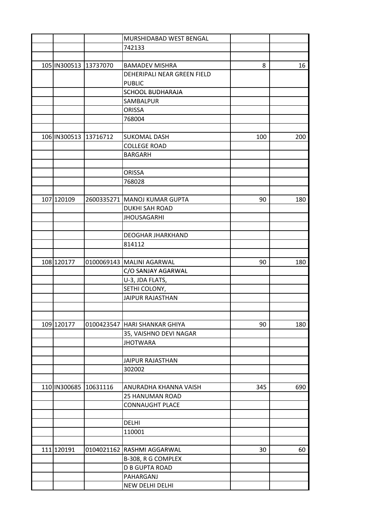|                       | MURSHIDABAD WEST BENGAL        |     |     |
|-----------------------|--------------------------------|-----|-----|
|                       | 742133                         |     |     |
|                       |                                |     |     |
| 105 IN300513 13737070 | <b>BAMADEV MISHRA</b>          | 8   | 16  |
|                       | DEHERIPALI NEAR GREEN FIELD    |     |     |
|                       | <b>PUBLIC</b>                  |     |     |
|                       | <b>SCHOOL BUDHARAJA</b>        |     |     |
|                       | SAMBALPUR                      |     |     |
|                       | <b>ORISSA</b>                  |     |     |
|                       | 768004                         |     |     |
|                       |                                |     |     |
| 106 IN300513 13716712 | <b>SUKOMAL DASH</b>            | 100 | 200 |
|                       | <b>COLLEGE ROAD</b>            |     |     |
|                       | <b>BARGARH</b>                 |     |     |
|                       |                                |     |     |
|                       | <b>ORISSA</b>                  |     |     |
|                       | 768028                         |     |     |
|                       |                                |     |     |
| 107 120109            |                                |     |     |
|                       | 2600335271   MANOJ KUMAR GUPTA | 90  | 180 |
|                       | <b>DUKHI SAH ROAD</b>          |     |     |
|                       | <b>JHOUSAGARHI</b>             |     |     |
|                       |                                |     |     |
|                       | <b>DEOGHAR JHARKHAND</b>       |     |     |
|                       | 814112                         |     |     |
|                       |                                |     |     |
| 108 120177            | 0100069143   MALINI AGARWAL    | 90  | 180 |
|                       | C/O SANJAY AGARWAL             |     |     |
|                       | U-3, JDA FLATS,                |     |     |
|                       | SETHI COLONY,                  |     |     |
|                       | <b>JAIPUR RAJASTHAN</b>        |     |     |
|                       |                                |     |     |
|                       |                                |     |     |
| 109 120177            | 0100423547 HARI SHANKAR GHIYA  | 90  | 180 |
|                       | 35, VAISHNO DEVI NAGAR         |     |     |
|                       | <b>JHOTWARA</b>                |     |     |
|                       |                                |     |     |
|                       | <b>JAIPUR RAJASTHAN</b>        |     |     |
|                       | 302002                         |     |     |
|                       |                                |     |     |
| 110 IN300685 10631116 | ANURADHA KHANNA VAISH          | 345 | 690 |
|                       | 25 HANUMAN ROAD                |     |     |
|                       | <b>CONNAUGHT PLACE</b>         |     |     |
|                       |                                |     |     |
|                       | DELHI                          |     |     |
|                       | 110001                         |     |     |
|                       |                                |     |     |
| 111 120191            | 0104021162 RASHMI AGGARWAL     | 30  | 60  |
|                       | B-308, R G COMPLEX             |     |     |
|                       | <b>D B GUPTA ROAD</b>          |     |     |
|                       | PAHARGANJ                      |     |     |
|                       | NEW DELHI DELHI                |     |     |
|                       |                                |     |     |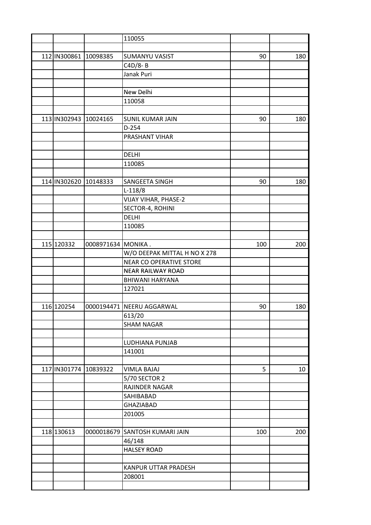|                       |                    | 110055                         |     |                 |
|-----------------------|--------------------|--------------------------------|-----|-----------------|
|                       |                    |                                |     |                 |
| 112 IN300861 10098385 |                    | <b>SUMANYU VASIST</b>          | 90  | 180             |
|                       |                    | $C4D/8 - B$                    |     |                 |
|                       |                    | Janak Puri                     |     |                 |
|                       |                    |                                |     |                 |
|                       |                    | New Delhi                      |     |                 |
|                       |                    | 110058                         |     |                 |
|                       |                    |                                |     |                 |
| 113 IN302943 10024165 |                    | <b>SUNIL KUMAR JAIN</b>        | 90  | 180             |
|                       |                    | $D-254$                        |     |                 |
|                       |                    | PRASHANT VIHAR                 |     |                 |
|                       |                    |                                |     |                 |
|                       |                    |                                |     |                 |
|                       |                    | <b>DELHI</b>                   |     |                 |
|                       |                    | 110085                         |     |                 |
|                       |                    |                                |     |                 |
| 114 IN302620 10148333 |                    | SANGEETA SINGH                 | 90  | 180             |
|                       |                    | $L-118/8$                      |     |                 |
|                       |                    | <b>VIJAY VIHAR, PHASE-2</b>    |     |                 |
|                       |                    | SECTOR-4, ROHINI               |     |                 |
|                       |                    | <b>DELHI</b>                   |     |                 |
|                       |                    | 110085                         |     |                 |
|                       |                    |                                |     |                 |
| 115 120332            | 0008971634 MONIKA. |                                | 100 | 200             |
|                       |                    | W/O DEEPAK MITTAL H NO X 278   |     |                 |
|                       |                    | NEAR CO OPERATIVE STORE        |     |                 |
|                       |                    | <b>NEAR RAILWAY ROAD</b>       |     |                 |
|                       |                    | BHIWANI HARYANA                |     |                 |
|                       |                    | 127021                         |     |                 |
|                       |                    |                                |     |                 |
| 116 120254            |                    | 0000194471 NEERU AGGARWAL      | 90  | 180             |
|                       |                    | 613/20                         |     |                 |
|                       |                    | <b>SHAM NAGAR</b>              |     |                 |
|                       |                    |                                |     |                 |
|                       |                    | LUDHIANA PUNJAB                |     |                 |
|                       |                    | 141001                         |     |                 |
|                       |                    |                                |     |                 |
| 117 IN301774 10839322 |                    | <b>VIMLA BAJAJ</b>             | 5   | 10 <sup>°</sup> |
|                       |                    | 5/70 SECTOR 2                  |     |                 |
|                       |                    | RAJINDER NAGAR                 |     |                 |
|                       |                    | SAHIBABAD                      |     |                 |
|                       |                    | <b>GHAZIABAD</b>               |     |                 |
|                       |                    | 201005                         |     |                 |
|                       |                    |                                |     |                 |
| 118 130613            |                    | 0000018679 SANTOSH KUMARI JAIN | 100 | 200             |
|                       |                    | 46/148                         |     |                 |
|                       |                    | <b>HALSEY ROAD</b>             |     |                 |
|                       |                    |                                |     |                 |
|                       |                    | KANPUR UTTAR PRADESH           |     |                 |
|                       |                    | 208001                         |     |                 |
|                       |                    |                                |     |                 |
|                       |                    |                                |     |                 |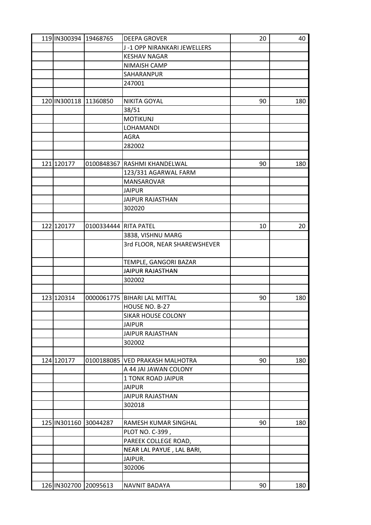| 119 IN300394 19468765     |                       | <b>DEEPA GROVER</b>          | 20 | 40  |
|---------------------------|-----------------------|------------------------------|----|-----|
|                           |                       | J-1 OPP NIRANKARI JEWELLERS  |    |     |
|                           |                       | <b>KESHAV NAGAR</b>          |    |     |
|                           |                       | NIMAISH CAMP                 |    |     |
|                           |                       | SAHARANPUR                   |    |     |
|                           |                       | 247001                       |    |     |
|                           |                       |                              |    |     |
| 120 IN300118 11360850     |                       | <b>NIKITA GOYAL</b>          | 90 | 180 |
|                           |                       | 38/51                        |    |     |
|                           |                       | <b>MOTIKUNJ</b>              |    |     |
|                           |                       | LOHAMANDI                    |    |     |
|                           |                       | <b>AGRA</b>                  |    |     |
|                           |                       | 282002                       |    |     |
|                           |                       |                              |    |     |
| 121 120177                |                       | 0100848367 RASHMI KHANDELWAL | 90 | 180 |
|                           |                       | 123/331 AGARWAL FARM         |    |     |
|                           |                       | MANSAROVAR                   |    |     |
|                           |                       |                              |    |     |
|                           |                       | <b>JAIPUR</b>                |    |     |
|                           |                       | <b>JAIPUR RAJASTHAN</b>      |    |     |
|                           |                       | 302020                       |    |     |
|                           |                       |                              |    |     |
| 122 120177                | 0100334444 RITA PATEL |                              | 10 | 20  |
|                           |                       | 3838, VISHNU MARG            |    |     |
|                           |                       | 3rd FLOOR, NEAR SHAREWSHEVER |    |     |
|                           |                       | TEMPLE, GANGORI BAZAR        |    |     |
|                           |                       | <b>JAIPUR RAJASTHAN</b>      |    |     |
|                           |                       | 302002                       |    |     |
|                           |                       |                              |    |     |
| 123 120314                |                       | 0000061775 BIHARI LAL MITTAL | 90 | 180 |
|                           |                       | HOUSE NO. B-27               |    |     |
|                           |                       | <b>SIKAR HOUSE COLONY</b>    |    |     |
|                           |                       | <b>JAIPUR</b>                |    |     |
|                           |                       | <b>JAIPUR RAJASTHAN</b>      |    |     |
|                           |                       | 302002                       |    |     |
|                           |                       |                              |    |     |
| 124 120177                | 0100188085            | <b>VED PRAKASH MALHOTRA</b>  | 90 | 180 |
|                           |                       | A 44 JAI JAWAN COLONY        |    |     |
|                           |                       | 1 TONK ROAD JAIPUR           |    |     |
|                           |                       | <b>JAIPUR</b>                |    |     |
|                           |                       | <b>JAIPUR RAJASTHAN</b>      |    |     |
|                           |                       |                              |    |     |
|                           |                       | 302018                       |    |     |
|                           |                       |                              |    |     |
| 125   IN301160   30044287 |                       | RAMESH KUMAR SINGHAL         | 90 | 180 |
|                           |                       | PLOT NO. C-399,              |    |     |
|                           |                       | PAREEK COLLEGE ROAD,         |    |     |
|                           |                       | NEAR LAL PAYUE, LAL BARI,    |    |     |
|                           |                       | JAIPUR.                      |    |     |
|                           |                       | 302006                       |    |     |
|                           |                       |                              |    |     |
| 126 IN302700 20095613     |                       | NAVNIT BADAYA                | 90 | 180 |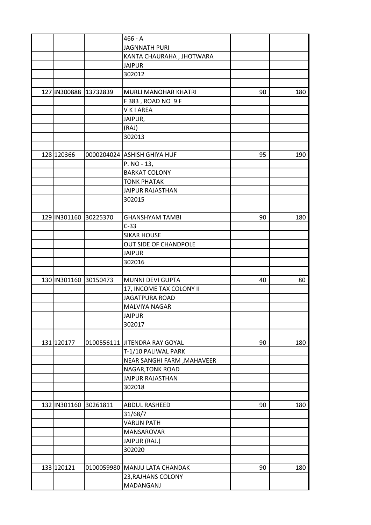|                       |          | $466 - A$                     |    |     |
|-----------------------|----------|-------------------------------|----|-----|
|                       |          | <b>JAGNNATH PURI</b>          |    |     |
|                       |          | KANTA CHAURAHA, JHOTWARA      |    |     |
|                       |          | <b>JAIPUR</b>                 |    |     |
|                       |          | 302012                        |    |     |
|                       |          |                               |    |     |
| 127 IN300888 13732839 |          | MURLI MANOHAR KHATRI          | 90 | 180 |
|                       |          | F 383, ROAD NO 9 F            |    |     |
|                       |          | <b>VKIAREA</b>                |    |     |
|                       |          | JAIPUR,                       |    |     |
|                       |          | (RAJ)                         |    |     |
|                       |          | 302013                        |    |     |
|                       |          |                               |    |     |
| 128 120366            |          | 0000204024 ASHISH GHIYA HUF   | 95 | 190 |
|                       |          | P. NO - 13,                   |    |     |
|                       |          | <b>BARKAT COLONY</b>          |    |     |
|                       |          | <b>TONK PHATAK</b>            |    |     |
|                       |          |                               |    |     |
|                       |          | <b>JAIPUR RAJASTHAN</b>       |    |     |
|                       |          | 302015                        |    |     |
|                       |          |                               |    |     |
| 129 IN301160 30225370 |          | <b>GHANSHYAM TAMBI</b>        | 90 | 180 |
|                       |          | $C-33$                        |    |     |
|                       |          | <b>SIKAR HOUSE</b>            |    |     |
|                       |          | OUT SIDE OF CHANDPOLE         |    |     |
|                       |          | <b>JAIPUR</b>                 |    |     |
|                       |          | 302016                        |    |     |
|                       |          |                               |    |     |
| 130 IN301160 30150473 |          | MUNNI DEVI GUPTA              | 40 | 80  |
|                       |          | 17, INCOME TAX COLONY II      |    |     |
|                       |          | <b>JAGATPURA ROAD</b>         |    |     |
|                       |          | <b>MALVIYA NAGAR</b>          |    |     |
|                       |          | JAIPUR                        |    |     |
|                       |          | 302017                        |    |     |
|                       |          |                               |    |     |
| 131 120177            |          | 0100556111 JITENDRA RAY GOYAL | 90 | 180 |
|                       |          | T-1/10 PALIWAL PARK           |    |     |
|                       |          | NEAR SANGHI FARM , MAHAVEER   |    |     |
|                       |          | NAGAR, TONK ROAD              |    |     |
|                       |          | <b>JAIPUR RAJASTHAN</b>       |    |     |
|                       |          | 302018                        |    |     |
|                       |          |                               |    |     |
| 132 IN301160          | 30261811 | ABDUL RASHEED                 | 90 | 180 |
|                       |          | 31/68/7                       |    |     |
|                       |          | <b>VARUN PATH</b>             |    |     |
|                       |          | MANSAROVAR                    |    |     |
|                       |          | JAIPUR (RAJ.)                 |    |     |
|                       |          | 302020                        |    |     |
|                       |          |                               |    |     |
| 133 120121            |          | 0100059980 MANJU LATA CHANDAK | 90 | 180 |
|                       |          | 23, RAJHANS COLONY            |    |     |
|                       |          | MADANGANJ                     |    |     |
|                       |          |                               |    |     |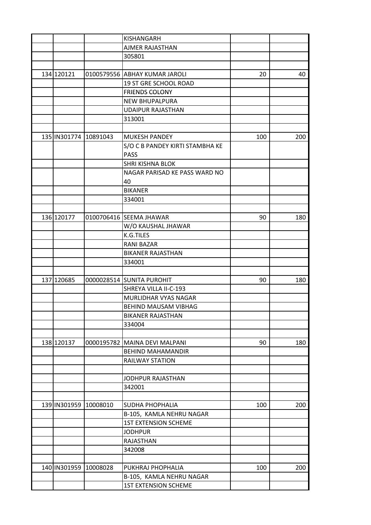|                       |          | KISHANGARH                      |     |     |
|-----------------------|----------|---------------------------------|-----|-----|
|                       |          | AJMER RAJASTHAN                 |     |     |
|                       |          | 305801                          |     |     |
|                       |          |                                 |     |     |
| 134 120121            |          | 0100579556 ABHAY KUMAR JAROLI   | 20  | 40  |
|                       |          | 19 ST GRE SCHOOL ROAD           |     |     |
|                       |          | <b>FRIENDS COLONY</b>           |     |     |
|                       |          | NEW BHUPALPURA                  |     |     |
|                       |          | <b>UDAIPUR RAJASTHAN</b>        |     |     |
|                       |          | 313001                          |     |     |
|                       |          |                                 |     |     |
| 135 IN301774 10891043 |          | <b>MUKESH PANDEY</b>            | 100 | 200 |
|                       |          | S/O C B PANDEY KIRTI STAMBHA KE |     |     |
|                       |          | <b>PASS</b>                     |     |     |
|                       |          | SHRI KISHNA BLOK                |     |     |
|                       |          |                                 |     |     |
|                       |          | NAGAR PARISAD KE PASS WARD NO   |     |     |
|                       |          | 40                              |     |     |
|                       |          | <b>BIKANER</b>                  |     |     |
|                       |          | 334001                          |     |     |
|                       |          |                                 |     |     |
| 136 120177            |          | 0100706416 SEEMA JHAWAR         | 90  | 180 |
|                       |          | W/O KAUSHAL JHAWAR              |     |     |
|                       |          | K.G.TILES                       |     |     |
|                       |          | RANI BAZAR                      |     |     |
|                       |          | <b>BIKANER RAJASTHAN</b>        |     |     |
|                       |          | 334001                          |     |     |
|                       |          |                                 |     |     |
| 137 120685            |          | 0000028514 SUNITA PUROHIT       | 90  | 180 |
|                       |          | SHREYA VILLA II-C-193           |     |     |
|                       |          | MURLIDHAR VYAS NAGAR            |     |     |
|                       |          | BEHIND MAUSAM VIBHAG            |     |     |
|                       |          | <b>BIKANER RAJASTHAN</b>        |     |     |
|                       |          | 334004                          |     |     |
|                       |          |                                 |     |     |
| 138 120137            |          | 0000195782  MAINA DEVI MALPANI  | 90  | 180 |
|                       |          | <b>BEHIND MAHAMANDIR</b>        |     |     |
|                       |          | RAILWAY STATION                 |     |     |
|                       |          |                                 |     |     |
|                       |          | JODHPUR RAJASTHAN               |     |     |
|                       |          | 342001                          |     |     |
|                       |          |                                 |     |     |
| 139 IN301959 10008010 |          | SUDHA PHOPHALIA                 | 100 | 200 |
|                       |          | B-105, KAMLA NEHRU NAGAR        |     |     |
|                       |          | <b>1ST EXTENSION SCHEME</b>     |     |     |
|                       |          | <b>JODHPUR</b>                  |     |     |
|                       |          | RAJASTHAN                       |     |     |
|                       |          | 342008                          |     |     |
|                       |          |                                 |     |     |
|                       |          |                                 |     |     |
| 140 IN301959          | 10008028 | PUKHRAJ PHOPHALIA               | 100 | 200 |
|                       |          | B-105, KAMLA NEHRU NAGAR        |     |     |
|                       |          | <b>1ST EXTENSION SCHEME</b>     |     |     |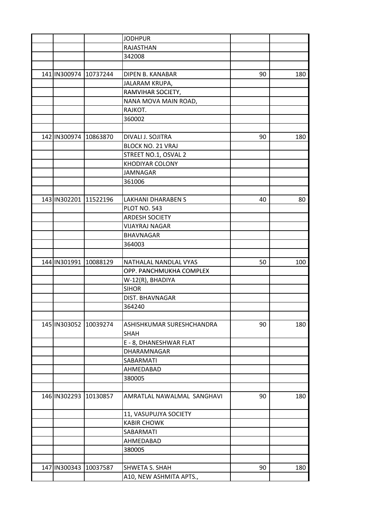|                           |          | <b>JODHPUR</b>             |    |     |
|---------------------------|----------|----------------------------|----|-----|
|                           |          | RAJASTHAN                  |    |     |
|                           |          | 342008                     |    |     |
|                           |          |                            |    |     |
| 141 IN300974 10737244     |          | DIPEN B. KANABAR           | 90 | 180 |
|                           |          | JALARAM KRUPA,             |    |     |
|                           |          | RAMVIHAR SOCIETY,          |    |     |
|                           |          | NANA MOVA MAIN ROAD,       |    |     |
|                           |          | RAJKOT.                    |    |     |
|                           |          | 360002                     |    |     |
|                           |          |                            |    |     |
| 142 IN300974 10863870     |          | DIVALI J. SOJITRA          | 90 | 180 |
|                           |          | <b>BLOCK NO. 21 VRAJ</b>   |    |     |
|                           |          | STREET NO.1, OSVAL 2       |    |     |
|                           |          | KHODIYAR COLONY            |    |     |
|                           |          | <b>JAMNAGAR</b>            |    |     |
|                           |          | 361006                     |    |     |
|                           |          |                            |    |     |
| 143 IN302201 11522196     |          | <b>LAKHANI DHARABEN S</b>  | 40 | 80  |
|                           |          | <b>PLOT NO. 543</b>        |    |     |
|                           |          | ARDESH SOCIETY             |    |     |
|                           |          | VIJAYRAJ NAGAR             |    |     |
|                           |          | <b>BHAVNAGAR</b>           |    |     |
|                           |          | 364003                     |    |     |
|                           |          |                            |    |     |
| 144 IN301991 10088129     |          | NATHALAL NANDLAL VYAS      | 50 | 100 |
|                           |          | OPP. PANCHMUKHA COMPLEX    |    |     |
|                           |          | W-12(R), BHADIYA           |    |     |
|                           |          | <b>SIHOR</b>               |    |     |
|                           |          | DIST. BHAVNAGAR            |    |     |
|                           |          | 364240                     |    |     |
|                           |          |                            |    |     |
| 145   IN303052   10039274 |          | ASHISHKUMAR SURESHCHANDRA  | 90 | 180 |
|                           |          | SHAH                       |    |     |
|                           |          | E - 8, DHANESHWAR FLAT     |    |     |
|                           |          |                            |    |     |
|                           |          | DHARAMNAGAR                |    |     |
|                           |          | SABARMATI                  |    |     |
|                           |          | AHMEDABAD                  |    |     |
|                           |          | 380005                     |    |     |
|                           |          |                            |    |     |
| 146 IN302293 10130857     |          | AMRATLAL NAWALMAL SANGHAVI | 90 | 180 |
|                           |          |                            |    |     |
|                           |          | 11, VASUPUJYA SOCIETY      |    |     |
|                           |          | <b>KABIR CHOWK</b>         |    |     |
|                           |          | SABARMATI                  |    |     |
|                           |          | AHMEDABAD                  |    |     |
|                           |          | 380005                     |    |     |
|                           |          |                            |    |     |
| 147 IN300343              | 10037587 | SHWETA S. SHAH             | 90 | 180 |
|                           |          | A10, NEW ASHMITA APTS.,    |    |     |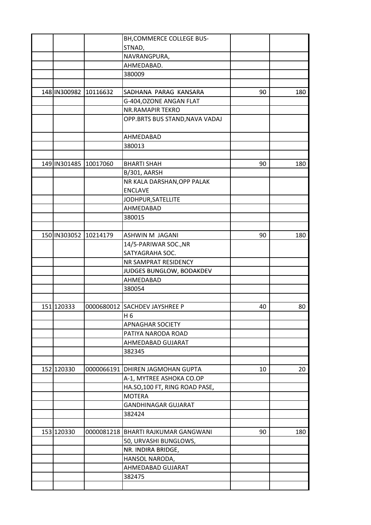|                       | BH, COMMERCE COLLEGE BUS-           |    |     |
|-----------------------|-------------------------------------|----|-----|
|                       | STNAD,                              |    |     |
|                       | NAVRANGPURA,                        |    |     |
|                       | AHMEDABAD.                          |    |     |
|                       | 380009                              |    |     |
|                       |                                     |    |     |
| 148 IN300982 10116632 | SADHANA PARAG KANSARA               | 90 | 180 |
|                       | G-404, OZONE ANGAN FLAT             |    |     |
|                       | <b>NR.RAMAPIR TEKRO</b>             |    |     |
|                       | OPP.BRTS BUS STAND, NAVA VADAJ      |    |     |
|                       |                                     |    |     |
|                       | AHMEDABAD                           |    |     |
|                       | 380013                              |    |     |
|                       |                                     |    |     |
| 149 IN301485 10017060 | <b>BHARTI SHAH</b>                  | 90 | 180 |
|                       | B/301, AARSH                        |    |     |
|                       | NR KALA DARSHAN, OPP PALAK          |    |     |
|                       | <b>ENCLAVE</b>                      |    |     |
|                       | JODHPUR, SATELLITE                  |    |     |
|                       | AHMEDABAD                           |    |     |
|                       | 380015                              |    |     |
|                       |                                     |    |     |
| 150 IN303052 10214179 | ASHWIN M JAGANI                     | 90 | 180 |
|                       | 14/5-PARIWAR SOC., NR               |    |     |
|                       | SATYAGRAHA SOC.                     |    |     |
|                       | NR SAMPRAT RESIDENCY                |    |     |
|                       | JUDGES BUNGLOW, BODAKDEV            |    |     |
|                       | AHMEDABAD                           |    |     |
|                       | 380054                              |    |     |
|                       |                                     |    |     |
| 151 120333            | 0000680012 SACHDEV JAYSHREE P       | 40 | 80  |
|                       | H 6                                 |    |     |
|                       | <b>APNAGHAR SOCIETY</b>             |    |     |
|                       | PATIYA NARODA ROAD                  |    |     |
|                       | AHMEDABAD GUJARAT                   |    |     |
|                       | 382345                              |    |     |
|                       |                                     |    |     |
| 152 120330            | 0000066191 DHIREN JAGMOHAN GUPTA    | 10 | 20  |
|                       | A-1, MYTREE ASHOKA CO.OP            |    |     |
|                       | HA.SO,100 FT, RING ROAD PASE,       |    |     |
|                       | <b>MOTERA</b>                       |    |     |
|                       | <b>GANDHINAGAR GUJARAT</b>          |    |     |
|                       | 382424                              |    |     |
|                       |                                     |    |     |
| 153 120330            | 0000081218 BHARTI RAJKUMAR GANGWANI | 90 | 180 |
|                       | 50, URVASHI BUNGLOWS,               |    |     |
|                       | NR. INDIRA BRIDGE,                  |    |     |
|                       | HANSOL NARODA,                      |    |     |
|                       | AHMEDABAD GUJARAT                   |    |     |
|                       | 382475                              |    |     |
|                       |                                     |    |     |
|                       |                                     |    |     |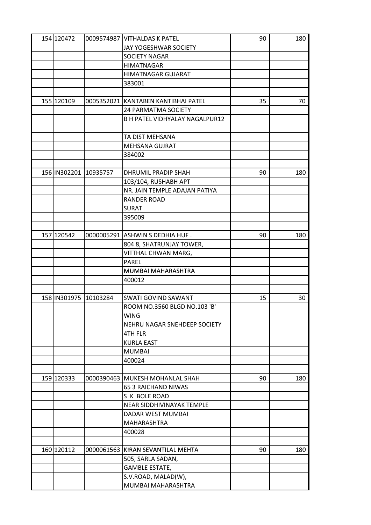| 154 120472            | 0009574987 VITHALDAS K PATEL          | 90 | 180 |
|-----------------------|---------------------------------------|----|-----|
|                       | JAY YOGESHWAR SOCIETY                 |    |     |
|                       | <b>SOCIETY NAGAR</b>                  |    |     |
|                       | <b>HIMATNAGAR</b>                     |    |     |
|                       | <b>HIMATNAGAR GUJARAT</b>             |    |     |
|                       | 383001                                |    |     |
|                       |                                       |    |     |
| 155 120109            | 0005352021   KANTABEN KANTIBHAI PATEL | 35 | 70  |
|                       | <b>24 PARMATMA SOCIETY</b>            |    |     |
|                       | <b>B H PATEL VIDHYALAY NAGALPUR12</b> |    |     |
|                       |                                       |    |     |
|                       | TA DIST MEHSANA                       |    |     |
|                       | <b>MEHSANA GUJRAT</b>                 |    |     |
|                       | 384002                                |    |     |
|                       |                                       |    |     |
| 156 IN302201 10935757 | DHRUMIL PRADIP SHAH                   | 90 | 180 |
|                       | 103/104, RUSHABH APT                  |    |     |
|                       | NR. JAIN TEMPLE ADAJAN PATIYA         |    |     |
|                       |                                       |    |     |
|                       | <b>RANDER ROAD</b>                    |    |     |
|                       | <b>SURAT</b>                          |    |     |
|                       | 395009                                |    |     |
|                       |                                       |    |     |
| 157 120542            | 0000005291 ASHWIN S DEDHIA HUF.       | 90 | 180 |
|                       | 804 8, SHATRUNJAY TOWER,              |    |     |
|                       | VITTHAL CHWAN MARG,                   |    |     |
|                       | <b>PAREL</b>                          |    |     |
|                       | MUMBAI MAHARASHTRA                    |    |     |
|                       | 400012                                |    |     |
|                       |                                       |    |     |
| 158 IN301975 10103284 | <b>SWATI GOVIND SAWANT</b>            | 15 | 30  |
|                       | ROOM NO.3560 BLGD NO.103 'B'          |    |     |
|                       | WING                                  |    |     |
|                       | NEHRU NAGAR SNEHDEEP SOCIETY          |    |     |
|                       | 4TH FLR                               |    |     |
|                       | <b>KURLA EAST</b>                     |    |     |
|                       | <b>MUMBAI</b>                         |    |     |
|                       | 400024                                |    |     |
|                       |                                       |    |     |
| 159 120333            | 0000390463 MUKESH MOHANLAL SHAH       | 90 | 180 |
|                       | 65 3 RAICHAND NIWAS                   |    |     |
|                       | S K BOLE ROAD                         |    |     |
|                       | NEAR SIDDHIVINAYAK TEMPLE             |    |     |
|                       | DADAR WEST MUMBAI                     |    |     |
|                       | MAHARASHTRA                           |    |     |
|                       | 400028                                |    |     |
|                       |                                       |    |     |
| 160 120112            | 0000061563 KIRAN SEVANTILAL MEHTA     | 90 | 180 |
|                       | 505, SARLA SADAN,                     |    |     |
|                       |                                       |    |     |
|                       | <b>GAMBLE ESTATE,</b>                 |    |     |
|                       | S.V.ROAD, MALAD(W),                   |    |     |
|                       | MUMBAI MAHARASHTRA                    |    |     |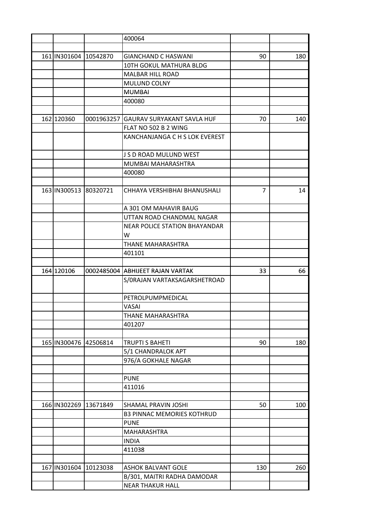|                       |            | 400064                               |                |     |
|-----------------------|------------|--------------------------------------|----------------|-----|
|                       |            |                                      |                |     |
| 161 IN301604 10542870 |            | <b>GIANCHAND C HASWANI</b>           | 90             | 180 |
|                       |            | 10TH GOKUL MATHURA BLDG              |                |     |
|                       |            | <b>MALBAR HILL ROAD</b>              |                |     |
|                       |            | MULUND COLNY                         |                |     |
|                       |            | <b>MUMBAI</b>                        |                |     |
|                       |            | 400080                               |                |     |
|                       |            |                                      |                |     |
| 162 120360            | 0001963257 | GAURAV SURYAKANT SAVLA HUF           | 70             | 140 |
|                       |            | FLAT NO 502 B 2 WING                 |                |     |
|                       |            | KANCHANJANGA C H S LOK EVEREST       |                |     |
|                       |            |                                      |                |     |
|                       |            | J S D ROAD MULUND WEST               |                |     |
|                       |            | MUMBAI MAHARASHTRA                   |                |     |
|                       |            | 400080                               |                |     |
|                       |            |                                      |                |     |
| 163 IN300513 80320721 |            | CHHAYA VERSHIBHAI BHANUSHALI         | $\overline{7}$ | 14  |
|                       |            |                                      |                |     |
|                       |            | A 301 OM MAHAVIR BAUG                |                |     |
|                       |            | UTTAN ROAD CHANDMAL NAGAR            |                |     |
|                       |            | <b>NEAR POLICE STATION BHAYANDAR</b> |                |     |
|                       |            | W                                    |                |     |
|                       |            | THANE MAHARASHTRA                    |                |     |
|                       |            | 401101                               |                |     |
|                       |            |                                      |                |     |
| 164 120106            |            | 0002485004 ABHIJEET RAJAN VARTAK     | 33             | 66  |
|                       |            | S/ORAJAN VARTAKSAGARSHETROAD         |                |     |
|                       |            |                                      |                |     |
|                       |            | PETROLPUMPMEDICAL                    |                |     |
|                       |            | VASAI                                |                |     |
|                       |            | THANE MAHARASHTRA                    |                |     |
|                       |            | 401207                               |                |     |
|                       |            |                                      |                |     |
| 165 IN300476 42506814 |            | <b>TRUPTI S BAHETI</b>               | 90             | 180 |
|                       |            | 5/1 CHANDRALOK APT                   |                |     |
|                       |            | 976/A GOKHALE NAGAR                  |                |     |
|                       |            |                                      |                |     |
|                       |            | <b>PUNE</b>                          |                |     |
|                       |            | 411016                               |                |     |
|                       |            |                                      |                |     |
| 166 IN302269 13671849 |            | SHAMAL PRAVIN JOSHI                  | 50             | 100 |
|                       |            | <b>B3 PINNAC MEMORIES KOTHRUD</b>    |                |     |
|                       |            | <b>PUNE</b>                          |                |     |
|                       |            | MAHARASHTRA                          |                |     |
|                       |            | <b>INDIA</b>                         |                |     |
|                       |            | 411038                               |                |     |
|                       |            |                                      |                |     |
| 167 IN301604 10123038 |            | <b>ASHOK BALVANT GOLE</b>            | 130            | 260 |
|                       |            | B/301, MAITRI RADHA DAMODAR          |                |     |
|                       |            | <b>NEAR THAKUR HALL</b>              |                |     |
|                       |            |                                      |                |     |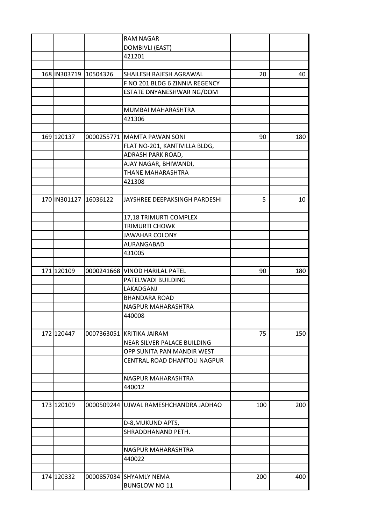|                       | <b>RAM NAGAR</b>                      |     |     |
|-----------------------|---------------------------------------|-----|-----|
|                       | <b>DOMBIVLI (EAST)</b>                |     |     |
|                       | 421201                                |     |     |
|                       |                                       |     |     |
| 168 IN303719 10504326 | SHAILESH RAJESH AGRAWAL               | 20  | 40  |
|                       | F NO 201 BLDG 6 ZINNIA REGENCY        |     |     |
|                       | ESTATE DNYANESHWAR NG/DOM             |     |     |
|                       |                                       |     |     |
|                       | MUMBAI MAHARASHTRA                    |     |     |
|                       | 421306                                |     |     |
|                       |                                       |     |     |
| 169 120137            | 0000255771   MAMTA PAWAN SONI         | 90  | 180 |
|                       | FLAT NO-201, KANTIVILLA BLDG,         |     |     |
|                       | ADRASH PARK ROAD,                     |     |     |
|                       | AJAY NAGAR, BHIWANDI,                 |     |     |
|                       | THANE MAHARASHTRA                     |     |     |
|                       | 421308                                |     |     |
|                       |                                       |     |     |
| 170 IN301127 16036122 | JAYSHREE DEEPAKSINGH PARDESHI         | 5   | 10  |
|                       |                                       |     |     |
|                       |                                       |     |     |
|                       | 17,18 TRIMURTI COMPLEX                |     |     |
|                       | <b>TRIMURTI CHOWK</b>                 |     |     |
|                       | <b>JAWAHAR COLONY</b>                 |     |     |
|                       | AURANGABAD                            |     |     |
|                       | 431005                                |     |     |
|                       |                                       |     |     |
| 171 120109            | 0000241668   VINOD HARILAL PATEL      | 90  | 180 |
|                       | PATELWADI BUILDING                    |     |     |
|                       | LAKADGANJ                             |     |     |
|                       | <b>BHANDARA ROAD</b>                  |     |     |
|                       | NAGPUR MAHARASHTRA                    |     |     |
|                       | 440008                                |     |     |
|                       |                                       |     |     |
| 172 120447            | 0007363051 KRITIKA JAIRAM             | 75  | 150 |
|                       | NEAR SILVER PALACE BUILDING           |     |     |
|                       | OPP SUNITA PAN MANDIR WEST            |     |     |
|                       | CENTRAL ROAD DHANTOLI NAGPUR          |     |     |
|                       |                                       |     |     |
|                       | NAGPUR MAHARASHTRA                    |     |     |
|                       | 440012                                |     |     |
|                       |                                       |     |     |
| 173 120109            | 0000509244 UJWAL RAMESHCHANDRA JADHAO | 100 | 200 |
|                       |                                       |     |     |
|                       | D-8, MUKUND APTS,                     |     |     |
|                       | SHRADDHANAND PETH.                    |     |     |
|                       |                                       |     |     |
|                       | NAGPUR MAHARASHTRA                    |     |     |
|                       | 440022                                |     |     |
|                       |                                       |     |     |
| 174 120332            | 0000857034  SHYAMLY NEMA              | 200 | 400 |
|                       | <b>BUNGLOW NO 11</b>                  |     |     |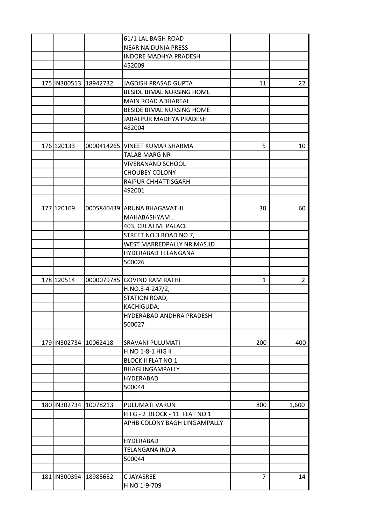|                       |                       | 61/1 LAL BAGH ROAD               |              |                |
|-----------------------|-----------------------|----------------------------------|--------------|----------------|
|                       |                       | <b>NEAR NAIDUNIA PRESS</b>       |              |                |
|                       |                       | <b>INDORE MADHYA PRADESH</b>     |              |                |
|                       |                       | 452009                           |              |                |
|                       |                       |                                  |              |                |
| 175 IN300513 18942732 |                       | JAGDISH PRASAD GUPTA             | 11           | 22             |
|                       |                       | BESIDE BIMAL NURSING HOME        |              |                |
|                       |                       | <b>MAIN ROAD ADHARTAL</b>        |              |                |
|                       |                       | <b>BESIDE BIMAL NURSING HOME</b> |              |                |
|                       |                       | JABALPUR MADHYA PRADESH          |              |                |
|                       |                       | 482004                           |              |                |
|                       |                       |                                  |              |                |
| 176 120133            |                       | 0000414265 VINEET KUMAR SHARMA   | 5            | 10             |
|                       |                       | <b>TALAB MARG NR</b>             |              |                |
|                       |                       | <b>VIVERANAND SCHOOL</b>         |              |                |
|                       |                       | <b>CHOUBEY COLONY</b>            |              |                |
|                       |                       | RAIPUR CHHATTISGARH              |              |                |
|                       |                       | 492001                           |              |                |
|                       |                       |                                  |              |                |
| 177 120109            |                       | 0005840439 ARUNA BHAGAVATHI      | 30           | 60             |
|                       |                       | MAHABASHYAM.                     |              |                |
|                       |                       | 403, CREATIVE PALACE             |              |                |
|                       |                       | STREET NO 3 ROAD NO 7,           |              |                |
|                       |                       | WEST MARREDPALLY NR MASJID       |              |                |
|                       |                       | HYDERABAD TELANGANA              |              |                |
|                       |                       | 500026                           |              |                |
|                       |                       |                                  |              |                |
| 178 120514            |                       | 0000079785 GOVIND RAM RATHI      | $\mathbf{1}$ | $\overline{2}$ |
|                       |                       | $H.NO.3-4-247/2,$                |              |                |
|                       |                       | STATION ROAD,                    |              |                |
|                       |                       | KACHIGUDA,                       |              |                |
|                       |                       | HYDERABAD ANDHRA PRADESH         |              |                |
|                       |                       | 500027                           |              |                |
|                       |                       |                                  |              |                |
|                       | 179 IN302734 10062418 | SRAVANI PULUMATI                 | 200          | 400            |
|                       |                       | H.NO 1-8-1 HIG II                |              |                |
|                       |                       | <b>BLOCK II FLAT NO 1</b>        |              |                |
|                       |                       |                                  |              |                |
|                       |                       | BHAGLINGAMPALLY                  |              |                |
|                       |                       | <b>HYDERABAD</b>                 |              |                |
|                       |                       | 500044                           |              |                |
|                       |                       |                                  |              |                |
| 180 IN302734 10078213 |                       | PULUMATI VARUN                   | 800          | 1,600          |
|                       |                       | HIG-2 BLOCK-11 FLAT NO 1         |              |                |
|                       |                       | APHB COLONY BAGH LINGAMPALLY     |              |                |
|                       |                       | <b>HYDERABAD</b>                 |              |                |
|                       |                       | TELANGANA INDIA                  |              |                |
|                       |                       | 500044                           |              |                |
|                       |                       |                                  |              |                |
| 181 IN300394          | 18985652              | C JAYASREE                       | 7            | 14             |
|                       |                       | H NO 1-9-709                     |              |                |
|                       |                       |                                  |              |                |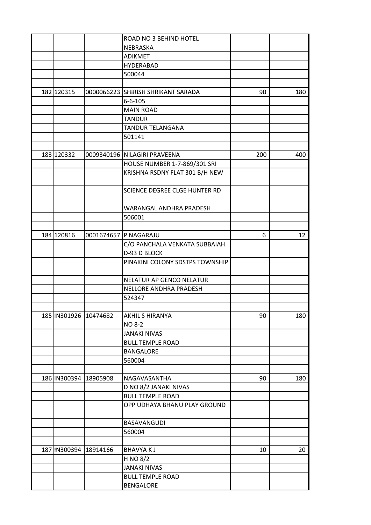|                       |                       | ROAD NO 3 BEHIND HOTEL             |     |     |
|-----------------------|-----------------------|------------------------------------|-----|-----|
|                       |                       | NEBRASKA                           |     |     |
|                       |                       | <b>ADIKMET</b>                     |     |     |
|                       |                       | <b>HYDERABAD</b>                   |     |     |
|                       |                       | 500044                             |     |     |
|                       |                       |                                    |     |     |
| 182 120315            |                       | 0000066223 SHIRISH SHRIKANT SARADA | 90  | 180 |
|                       |                       | $6 - 6 - 105$                      |     |     |
|                       |                       | <b>MAIN ROAD</b>                   |     |     |
|                       |                       | <b>TANDUR</b>                      |     |     |
|                       |                       | TANDUR TELANGANA                   |     |     |
|                       |                       | 501141                             |     |     |
|                       |                       |                                    |     |     |
| 183 120332            |                       | 0009340196 NILAGIRI PRAVEENA       | 200 | 400 |
|                       |                       | HOUSE NUMBER 1-7-869/301 SRI       |     |     |
|                       |                       | KRISHNA RSDNY FLAT 301 B/H NEW     |     |     |
|                       |                       |                                    |     |     |
|                       |                       | SCIENCE DEGREE CLGE HUNTER RD      |     |     |
|                       |                       |                                    |     |     |
|                       |                       | WARANGAL ANDHRA PRADESH            |     |     |
|                       |                       | 506001                             |     |     |
|                       |                       |                                    |     |     |
|                       |                       |                                    |     |     |
| 184 120816            |                       | 0001674657 P NAGARAJU              | 6   | 12  |
|                       |                       | C/O PANCHALA VENKATA SUBBAIAH      |     |     |
|                       |                       | D-93 D BLOCK                       |     |     |
|                       |                       | PINAKINI COLONY SDSTPS TOWNSHIP    |     |     |
|                       |                       |                                    |     |     |
|                       |                       | NELATUR AP GENCO NELATUR           |     |     |
|                       |                       | NELLORE ANDHRA PRADESH             |     |     |
|                       |                       | 524347                             |     |     |
|                       |                       |                                    |     |     |
| 185 IN301926 10474682 |                       | <b>AKHIL S HIRANYA</b>             | 90  | 180 |
|                       |                       | <b>NO 8-2</b>                      |     |     |
|                       |                       | <b>JANAKI NIVAS</b>                |     |     |
|                       |                       | <b>BULL TEMPLE ROAD</b>            |     |     |
|                       |                       | <b>BANGALORE</b>                   |     |     |
|                       |                       | 560004                             |     |     |
|                       |                       |                                    |     |     |
|                       | 186 IN300394 18905908 | NAGAVASANTHA                       | 90  | 180 |
|                       |                       | D NO 8/2 JANAKI NIVAS              |     |     |
|                       |                       | <b>BULL TEMPLE ROAD</b>            |     |     |
|                       |                       | OPP UDHAYA BHANU PLAY GROUND       |     |     |
|                       |                       | BASAVANGUDI                        |     |     |
|                       |                       | 560004                             |     |     |
|                       |                       |                                    |     |     |
|                       | 187 IN300394 18914166 | <b>BHAVYAKJ</b>                    | 10  | 20  |
|                       |                       | H NO 8/2                           |     |     |
|                       |                       | <b>JANAKI NIVAS</b>                |     |     |
|                       |                       | <b>BULL TEMPLE ROAD</b>            |     |     |
|                       |                       | <b>BENGALORE</b>                   |     |     |
|                       |                       |                                    |     |     |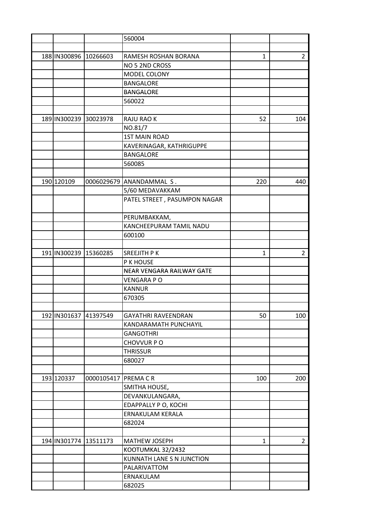|                       |                     | 560004                       |              |                |
|-----------------------|---------------------|------------------------------|--------------|----------------|
|                       |                     |                              |              |                |
| 188 IN300896 10266603 |                     | RAMESH ROSHAN BORANA         | 1            | $\overline{2}$ |
|                       |                     | NO 5 2ND CROSS               |              |                |
|                       |                     | MODEL COLONY                 |              |                |
|                       |                     | <b>BANGALORE</b>             |              |                |
|                       |                     | <b>BANGALORE</b>             |              |                |
|                       |                     | 560022                       |              |                |
|                       |                     |                              |              |                |
| 189 IN300239 30023978 |                     | RAJU RAO K                   | 52           | 104            |
|                       |                     | NO.81/7                      |              |                |
|                       |                     | <b>1ST MAIN ROAD</b>         |              |                |
|                       |                     | KAVERINAGAR, KATHRIGUPPE     |              |                |
|                       |                     | <b>BANGALORE</b>             |              |                |
|                       |                     | 560085                       |              |                |
|                       |                     |                              |              |                |
| 190 120109            |                     | 0006029679 ANANDAMMAL S.     | 220          | 440            |
|                       |                     | 5/60 MEDAVAKKAM              |              |                |
|                       |                     | PATEL STREET, PASUMPON NAGAR |              |                |
|                       |                     |                              |              |                |
|                       |                     | PERUMBAKKAM,                 |              |                |
|                       |                     | KANCHEEPURAM TAMIL NADU      |              |                |
|                       |                     | 600100                       |              |                |
|                       |                     |                              |              |                |
| 191 IN300239 15360285 |                     | SREEJITH P K                 | $\mathbf{1}$ | $\overline{2}$ |
|                       |                     | P K HOUSE                    |              |                |
|                       |                     | NEAR VENGARA RAILWAY GATE    |              |                |
|                       |                     | <b>VENGARA PO</b>            |              |                |
|                       |                     | <b>KANNUR</b>                |              |                |
|                       |                     |                              |              |                |
|                       |                     | 670305                       |              |                |
|                       |                     | <b>GAYATHRI RAVEENDRAN</b>   |              |                |
| 192 IN301637 41397549 |                     | KANDARAMATH PUNCHAYIL        | 50           | 100            |
|                       |                     |                              |              |                |
|                       |                     | <b>GANGOTHRI</b>             |              |                |
|                       |                     | CHOVVUR PO                   |              |                |
|                       |                     | <b>THRISSUR</b>              |              |                |
|                       |                     | 680027                       |              |                |
|                       |                     |                              |              |                |
| 193 120337            | 0000105417 PREMA CR |                              | 100          | 200            |
|                       |                     | SMITHA HOUSE,                |              |                |
|                       |                     | DEVANKULANGARA,              |              |                |
|                       |                     | EDAPPALLY P O, KOCHI         |              |                |
|                       |                     | ERNAKULAM KERALA             |              |                |
|                       |                     | 682024                       |              |                |
|                       |                     |                              |              |                |
| 194 IN301774 13511173 |                     | MATHEW JOSEPH                | 1            | $\overline{2}$ |
|                       |                     | KOOTUMKAL 32/2432            |              |                |
|                       |                     | KUNNATH LANE S N JUNCTION    |              |                |
|                       |                     | PALARIVATTOM                 |              |                |
|                       |                     | ERNAKULAM                    |              |                |
|                       |                     | 682025                       |              |                |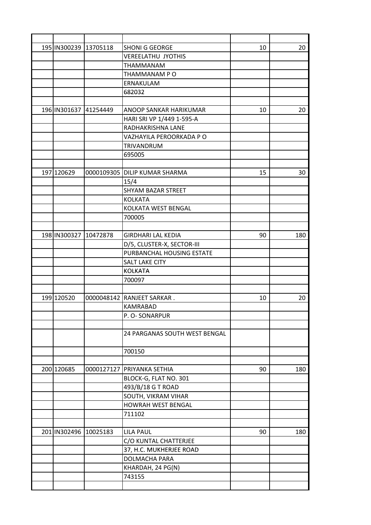| 195 IN300239 13705118 | <b>SHONI G GEORGE</b>           | 10 | 20  |
|-----------------------|---------------------------------|----|-----|
|                       | <b>VEREELATHU JYOTHIS</b>       |    |     |
|                       | THAMMANAM                       |    |     |
|                       | THAMMANAM PO                    |    |     |
|                       | ERNAKULAM                       |    |     |
|                       | 682032                          |    |     |
|                       |                                 |    |     |
| 196 IN301637 41254449 | ANOOP SANKAR HARIKUMAR          | 10 | 20  |
|                       | HARI SRI VP 1/449 1-595-A       |    |     |
|                       | RADHAKRISHNA LANE               |    |     |
|                       | VAZHAYILA PEROORKADA P O        |    |     |
|                       | TRIVANDRUM                      |    |     |
|                       | 695005                          |    |     |
|                       |                                 |    |     |
| 197 120629            | 0000109305   DILIP KUMAR SHARMA | 15 | 30  |
|                       | 15/4                            |    |     |
|                       | <b>SHYAM BAZAR STREET</b>       |    |     |
|                       | <b>KOLKATA</b>                  |    |     |
|                       | KOLKATA WEST BENGAL             |    |     |
|                       | 700005                          |    |     |
|                       |                                 |    |     |
| 198 IN300327 10472878 | <b>GIRDHARI LAL KEDIA</b>       | 90 | 180 |
|                       | D/5, CLUSTER-X, SECTOR-III      |    |     |
|                       | PURBANCHAL HOUSING ESTATE       |    |     |
|                       | <b>SALT LAKE CITY</b>           |    |     |
|                       | <b>KOLKATA</b>                  |    |     |
|                       | 700097                          |    |     |
|                       |                                 |    |     |
| 199 120520            | 0000048142 RANJEET SARKAR.      | 10 | 20  |
|                       | <b>KAMRABAD</b>                 |    |     |
|                       | P. O-SONARPUR                   |    |     |
|                       |                                 |    |     |
|                       | 24 PARGANAS SOUTH WEST BENGAL   |    |     |
|                       |                                 |    |     |
|                       | 700150                          |    |     |
|                       |                                 |    |     |
| 200 120685            | 0000127127 PRIYANKA SETHIA      | 90 | 180 |
|                       | BLOCK-G, FLAT NO. 301           |    |     |
|                       | 493/B/18 G T ROAD               |    |     |
|                       | SOUTH, VIKRAM VIHAR             |    |     |
|                       | HOWRAH WEST BENGAL              |    |     |
|                       | 711102                          |    |     |
|                       |                                 |    |     |
| 201 IN302496 10025183 | <b>LILA PAUL</b>                | 90 | 180 |
|                       | C/O KUNTAL CHATTERJEE           |    |     |
|                       |                                 |    |     |
|                       | 37, H.C. MUKHERJEE ROAD         |    |     |
|                       | DOLMACHA PARA                   |    |     |
|                       | KHARDAH, 24 PG(N)               |    |     |
|                       | 743155                          |    |     |
|                       |                                 |    |     |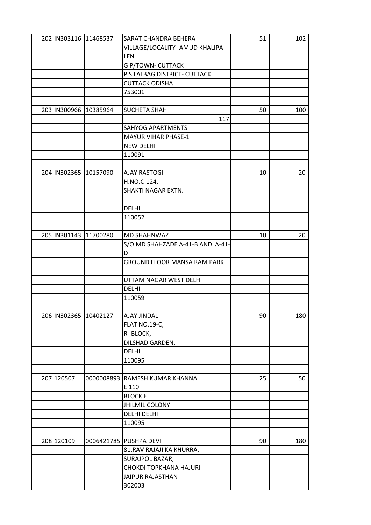| 202 IN303116 11468537 |            | SARAT CHANDRA BEHERA               | 51 | 102 |
|-----------------------|------------|------------------------------------|----|-----|
|                       |            | VILLAGE/LOCALITY- AMUD KHALIPA     |    |     |
|                       |            | LEN                                |    |     |
|                       |            | <b>G P/TOWN- CUTTACK</b>           |    |     |
|                       |            | P S LALBAG DISTRICT- CUTTACK       |    |     |
|                       |            | <b>CUTTACK ODISHA</b>              |    |     |
|                       |            | 753001                             |    |     |
|                       |            |                                    |    |     |
| 203 IN300966 10385964 |            | <b>SUCHETA SHAH</b>                | 50 | 100 |
|                       |            | 117                                |    |     |
|                       |            | <b>SAHYOG APARTMENTS</b>           |    |     |
|                       |            | <b>MAYUR VIHAR PHASE-1</b>         |    |     |
|                       |            | <b>NEW DELHI</b>                   |    |     |
|                       |            | 110091                             |    |     |
|                       |            |                                    |    |     |
|                       |            |                                    |    |     |
| 204 IN302365 10157090 |            | <b>AJAY RASTOGI</b>                | 10 | 20  |
|                       |            | H.NO.C-124,                        |    |     |
|                       |            | SHAKTI NAGAR EXTN.                 |    |     |
|                       |            |                                    |    |     |
|                       |            | <b>DELHI</b>                       |    |     |
|                       |            | 110052                             |    |     |
|                       |            |                                    |    |     |
| 205 IN301143 11700280 |            | MD SHAHNWAZ                        | 10 | 20  |
|                       |            | S/O MD SHAHZADE A-41-B AND A-41-   |    |     |
|                       |            | D                                  |    |     |
|                       |            | <b>GROUND FLOOR MANSA RAM PARK</b> |    |     |
|                       |            |                                    |    |     |
|                       |            | UTTAM NAGAR WEST DELHI             |    |     |
|                       |            | <b>DELHI</b>                       |    |     |
|                       |            | 110059                             |    |     |
|                       |            |                                    |    |     |
| 206 IN302365 10402127 |            | AJAY JINDAL                        | 90 | 180 |
|                       |            | FLAT NO.19-C,                      |    |     |
|                       |            | R-BLOCK,                           |    |     |
|                       |            | DILSHAD GARDEN,                    |    |     |
|                       |            | <b>DELHI</b>                       |    |     |
|                       |            |                                    |    |     |
|                       |            | 110095                             |    |     |
|                       |            |                                    |    |     |
| 207 120507            | 0000008893 | RAMESH KUMAR KHANNA                | 25 | 50  |
|                       |            | E 110                              |    |     |
|                       |            | <b>BLOCK E</b>                     |    |     |
|                       |            | <b>JHILMIL COLONY</b>              |    |     |
|                       |            | <b>DELHI DELHI</b>                 |    |     |
|                       |            | 110095                             |    |     |
|                       |            |                                    |    |     |
| 208 120109            |            | 0006421785 PUSHPA DEVI             | 90 | 180 |
|                       |            | 81, RAV RAJAJI KA KHURRA,          |    |     |
|                       |            | SURAJPOL BAZAR,                    |    |     |
|                       |            | CHOKDI TOPKHANA HAJURI             |    |     |
|                       |            | <b>JAIPUR RAJASTHAN</b>            |    |     |
|                       |            | 302003                             |    |     |
|                       |            |                                    |    |     |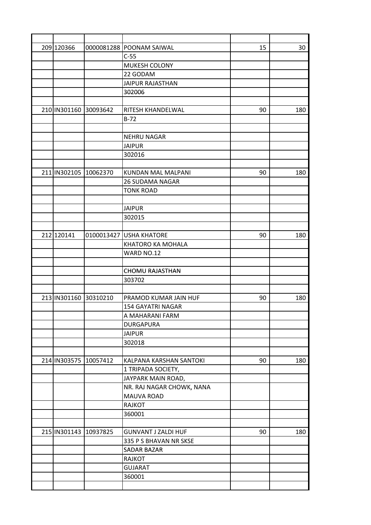| 209 120366            |          | 0000081288 POONAM SAIWAL            | 15 | 30  |
|-----------------------|----------|-------------------------------------|----|-----|
|                       |          | $C-55$                              |    |     |
|                       |          | MUKESH COLONY                       |    |     |
|                       |          | 22 GODAM                            |    |     |
|                       |          | <b>JAIPUR RAJASTHAN</b>             |    |     |
|                       |          | 302006                              |    |     |
|                       |          |                                     |    |     |
| 210 IN301160          | 30093642 | RITESH KHANDELWAL                   | 90 | 180 |
|                       |          | $B-72$                              |    |     |
|                       |          |                                     |    |     |
|                       |          | <b>NEHRU NAGAR</b>                  |    |     |
|                       |          | <b>JAIPUR</b>                       |    |     |
|                       |          | 302016                              |    |     |
|                       |          |                                     |    |     |
| 211 IN302105 10062370 |          | KUNDAN MAL MALPANI                  | 90 | 180 |
|                       |          | <b>26 SUDAMA NAGAR</b>              |    |     |
|                       |          | <b>TONK ROAD</b>                    |    |     |
|                       |          |                                     |    |     |
|                       |          | <b>JAIPUR</b>                       |    |     |
|                       |          | 302015                              |    |     |
|                       |          |                                     |    |     |
| 212 120141            |          | 0100013427 USHA KHATORE             | 90 | 180 |
|                       |          | KHATORO KA MOHALA                   |    |     |
|                       |          | WARD NO.12                          |    |     |
|                       |          |                                     |    |     |
|                       |          | <b>CHOMU RAJASTHAN</b>              |    |     |
|                       |          | 303702                              |    |     |
|                       |          |                                     |    |     |
| 213 IN301160 30310210 |          | PRAMOD KUMAR JAIN HUF               | 90 | 180 |
|                       |          | 154 GAYATRI NAGAR                   |    |     |
|                       |          |                                     |    |     |
|                       |          | A MAHARANI FARM<br><b>DURGAPURA</b> |    |     |
|                       |          |                                     |    |     |
|                       |          | <b>JAIPUR</b>                       |    |     |
|                       |          | 302018                              |    |     |
|                       |          |                                     |    |     |
| 214 IN303575 10057412 |          | KALPANA KARSHAN SANTOKI             | 90 | 180 |
|                       |          | 1 TRIPADA SOCIETY,                  |    |     |
|                       |          | JAYPARK MAIN ROAD,                  |    |     |
|                       |          | NR. RAJ NAGAR CHOWK, NANA           |    |     |
|                       |          | MAUVA ROAD                          |    |     |
|                       |          | RAJKOT                              |    |     |
|                       |          | 360001                              |    |     |
|                       |          |                                     |    |     |
| 215 IN301143 10937825 |          | <b>GUNVANT J ZALDI HUF</b>          | 90 | 180 |
|                       |          | 335 P S BHAVAN NR SKSE              |    |     |
|                       |          | <b>SADAR BAZAR</b>                  |    |     |
|                       |          | RAJKOT                              |    |     |
|                       |          | <b>GUJARAT</b>                      |    |     |
|                       |          | 360001                              |    |     |
|                       |          |                                     |    |     |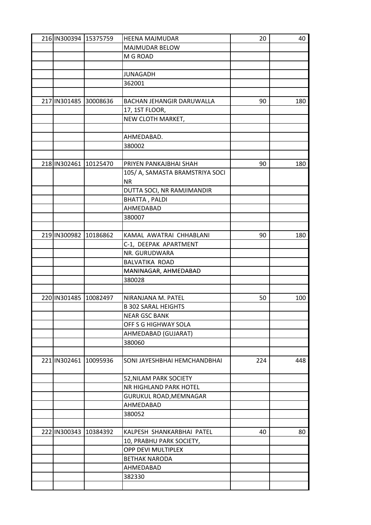| 216 IN300394 15375759 | HEENA MAJMUDAR                  | 20  | 40  |
|-----------------------|---------------------------------|-----|-----|
|                       | MAJMUDAR BELOW                  |     |     |
|                       | M G ROAD                        |     |     |
|                       |                                 |     |     |
|                       | <b>JUNAGADH</b>                 |     |     |
|                       | 362001                          |     |     |
|                       |                                 |     |     |
| 217 IN301485 30008636 | BACHAN JEHANGIR DARUWALLA       | 90  | 180 |
|                       | 17, 1ST FLOOR,                  |     |     |
|                       | NEW CLOTH MARKET,               |     |     |
|                       |                                 |     |     |
|                       | AHMEDABAD.                      |     |     |
|                       | 380002                          |     |     |
|                       |                                 |     |     |
| 218 IN302461 10125470 | PRIYEN PANKAJBHAI SHAH          | 90  | 180 |
|                       | 105/ A, SAMASTA BRAMSTRIYA SOCI |     |     |
|                       | <b>NR</b>                       |     |     |
|                       | DUTTA SOCI, NR RAMJIMANDIR      |     |     |
|                       |                                 |     |     |
|                       | BHATTA, PALDI                   |     |     |
|                       | AHMEDABAD                       |     |     |
|                       | 380007                          |     |     |
|                       |                                 |     |     |
| 219 IN300982 10186862 | KAMAL AWATRAI CHHABLANI         | 90  | 180 |
|                       | C-1, DEEPAK APARTMENT           |     |     |
|                       | NR. GURUDWARA                   |     |     |
|                       | BALVATIKA ROAD                  |     |     |
|                       | MANINAGAR, AHMEDABAD            |     |     |
|                       | 380028                          |     |     |
|                       |                                 |     |     |
| 220 IN301485 10082497 | NIRANJANA M. PATEL              | 50  | 100 |
|                       | <b>B 302 SARAL HEIGHTS</b>      |     |     |
|                       | NEAR GSC BANK                   |     |     |
|                       | OFF S G HIGHWAY SOLA            |     |     |
|                       | AHMEDABAD (GUJARAT)             |     |     |
|                       | 380060                          |     |     |
|                       |                                 |     |     |
| 221 IN302461 10095936 | SONI JAYESHBHAI HEMCHANDBHAI    | 224 | 448 |
|                       | 52, NILAM PARK SOCIETY          |     |     |
|                       | NR HIGHLAND PARK HOTEL          |     |     |
|                       | GURUKUL ROAD, MEMNAGAR          |     |     |
|                       | AHMEDABAD                       |     |     |
|                       | 380052                          |     |     |
|                       |                                 |     |     |
| 222 IN300343 10384392 | KALPESH SHANKARBHAI PATEL       | 40  | 80  |
|                       | 10, PRABHU PARK SOCIETY,        |     |     |
|                       | OPP DEVI MULTIPLEX              |     |     |
|                       | <b>BETHAK NARODA</b>            |     |     |
|                       |                                 |     |     |
|                       | AHMEDABAD                       |     |     |
|                       | 382330                          |     |     |
|                       |                                 |     |     |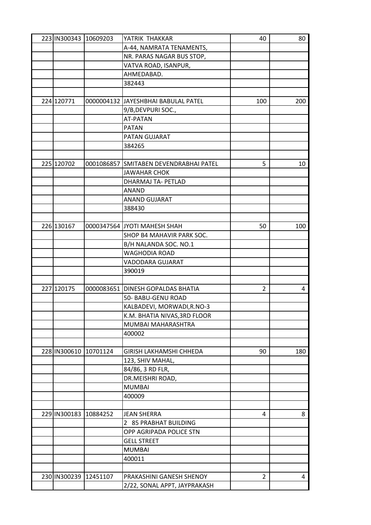| 223 IN300343 10609203 |          | YATRIK THAKKAR                         | 40             | 80  |
|-----------------------|----------|----------------------------------------|----------------|-----|
|                       |          | A-44, NAMRATA TENAMENTS,               |                |     |
|                       |          | NR. PARAS NAGAR BUS STOP,              |                |     |
|                       |          | VATVA ROAD, ISANPUR,                   |                |     |
|                       |          | AHMEDABAD.                             |                |     |
|                       |          | 382443                                 |                |     |
|                       |          |                                        |                |     |
| 224 120771            |          | 0000004132 JJAYESHBHAI BABULAL PATEL   | 100            | 200 |
|                       |          | 9/B, DEVPURI SOC.,                     |                |     |
|                       |          | <b>AT-PATAN</b>                        |                |     |
|                       |          | <b>PATAN</b>                           |                |     |
|                       |          | PATAN GUJARAT                          |                |     |
|                       |          | 384265                                 |                |     |
|                       |          |                                        |                |     |
| 225 120702            |          | 0001086857 SMITABEN DEVENDRABHAI PATEL | 5              | 10  |
|                       |          | JAWAHAR CHOK                           |                |     |
|                       |          | DHARMAJ TA- PETLAD                     |                |     |
|                       |          | <b>ANAND</b>                           |                |     |
|                       |          | <b>ANAND GUJARAT</b>                   |                |     |
|                       |          | 388430                                 |                |     |
|                       |          |                                        |                |     |
| 226 130167            |          | 0000347564 JYOTI MAHESH SHAH           | 50             | 100 |
|                       |          | SHOP B4 MAHAVIR PARK SOC.              |                |     |
|                       |          | B/H NALANDA SOC. NO.1                  |                |     |
|                       |          | <b>WAGHODIA ROAD</b>                   |                |     |
|                       |          | VADODARA GUJARAT                       |                |     |
|                       |          | 390019                                 |                |     |
|                       |          |                                        |                |     |
| 227 120175            |          | 0000083651 DINESH GOPALDAS BHATIA      | 2              | 4   |
|                       |          | 50- BABU-GENU ROAD                     |                |     |
|                       |          | KALBADEVI, MORWADI, R.NO-3             |                |     |
|                       |          | K.M. BHATIA NIVAS, 3RD FLOOR           |                |     |
|                       |          | MUMBAI MAHARASHTRA                     |                |     |
|                       |          | 400002                                 |                |     |
|                       |          |                                        |                |     |
| 228 IN300610          | 10701124 | GIRISH LAKHAMSHI CHHEDA                | 90             | 180 |
|                       |          |                                        |                |     |
|                       |          | 123, SHIV MAHAL,                       |                |     |
|                       |          | 84/86, 3 RD FLR,<br>DR.MEISHRI ROAD,   |                |     |
|                       |          | <b>MUMBAI</b>                          |                |     |
|                       |          |                                        |                |     |
|                       |          | 400009                                 |                |     |
|                       |          |                                        |                |     |
| 229 IN300183 10884252 |          | <b>JEAN SHERRA</b>                     | 4              | 8   |
|                       |          | 2 85 PRABHAT BUILDING                  |                |     |
|                       |          | OPP AGRIPADA POLICE STN                |                |     |
|                       |          | <b>GELL STREET</b>                     |                |     |
|                       |          | <b>MUMBAI</b>                          |                |     |
|                       |          | 400011                                 |                |     |
|                       |          |                                        |                |     |
| 230 IN300239 12451107 |          | PRAKASHINI GANESH SHENOY               | $\overline{c}$ | 4   |
|                       |          | 2/22, SONAL APPT, JAYPRAKASH           |                |     |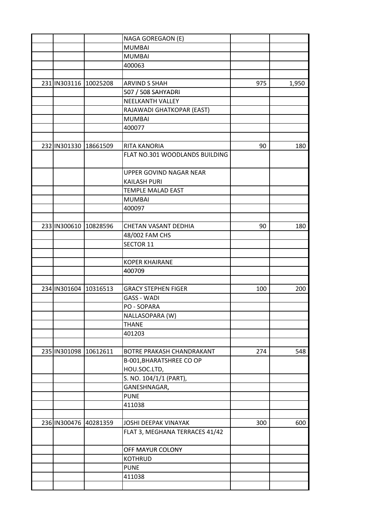|                       |          | NAGA GOREGAON (E)              |     |       |
|-----------------------|----------|--------------------------------|-----|-------|
|                       |          | <b>MUMBAI</b>                  |     |       |
|                       |          | <b>MUMBAI</b>                  |     |       |
|                       |          | 400063                         |     |       |
|                       |          |                                |     |       |
| 231 IN303116 10025208 |          | <b>ARVIND S SHAH</b>           | 975 | 1,950 |
|                       |          | 507 / 508 SAHYADRI             |     |       |
|                       |          | <b>NEELKANTH VALLEY</b>        |     |       |
|                       |          | RAJAWADI GHATKOPAR (EAST)      |     |       |
|                       |          | <b>MUMBAI</b>                  |     |       |
|                       |          | 400077                         |     |       |
|                       |          |                                |     |       |
| 232 IN301330 18661509 |          | RITA KANORIA                   | 90  | 180   |
|                       |          | FLAT NO.301 WOODLANDS BUILDING |     |       |
|                       |          |                                |     |       |
|                       |          | UPPER GOVIND NAGAR NEAR        |     |       |
|                       |          | <b>KAILASH PURI</b>            |     |       |
|                       |          | <b>TEMPLE MALAD EAST</b>       |     |       |
|                       |          | <b>MUMBAI</b>                  |     |       |
|                       |          | 400097                         |     |       |
|                       |          |                                |     |       |
| 233 IN300610 10828596 |          | CHETAN VASANT DEDHIA           | 90  | 180   |
|                       |          | 48/002 FAM CHS                 |     |       |
|                       |          | <b>SECTOR 11</b>               |     |       |
|                       |          |                                |     |       |
|                       |          | <b>KOPER KHAIRANE</b>          |     |       |
|                       |          | 400709                         |     |       |
|                       |          |                                |     |       |
| 234 IN301604 10316513 |          | <b>GRACY STEPHEN FIGER</b>     | 100 | 200   |
|                       |          | <b>GASS - WADI</b>             |     |       |
|                       |          | PO - SOPARA                    |     |       |
|                       |          | NALLASOPARA (W)                |     |       |
|                       |          | <b>THANE</b>                   |     |       |
|                       |          | 401203                         |     |       |
|                       |          |                                |     |       |
| 235 IN301098 10612611 |          | BOTRE PRAKASH CHANDRAKANT      | 274 | 548   |
|                       |          | B-001, BHARATSHREE CO OP       |     |       |
|                       |          | HOU.SOC.LTD,                   |     |       |
|                       |          | S. NO. 104/1/1 (PART),         |     |       |
|                       |          | GANESHNAGAR,                   |     |       |
|                       |          | <b>PUNE</b>                    |     |       |
|                       |          | 411038                         |     |       |
|                       |          |                                |     |       |
| 236 IN300476          | 40281359 | JOSHI DEEPAK VINAYAK           | 300 | 600   |
|                       |          | FLAT 3, MEGHANA TERRACES 41/42 |     |       |
|                       |          | OFF MAYUR COLONY               |     |       |
|                       |          | <b>KOTHRUD</b>                 |     |       |
|                       |          | <b>PUNE</b>                    |     |       |
|                       |          | 411038                         |     |       |
|                       |          |                                |     |       |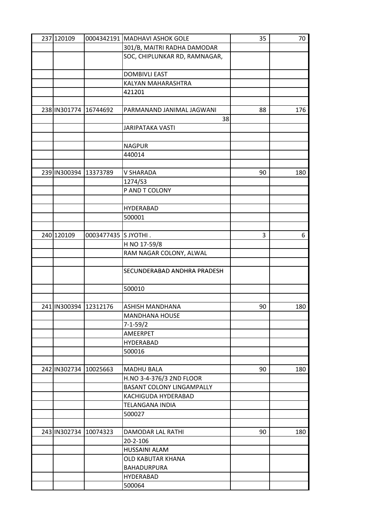| 237 120109            |                      | 0004342191 MADHAVI ASHOK GOLE    | 35 | 70  |
|-----------------------|----------------------|----------------------------------|----|-----|
|                       |                      | 301/B, MAITRI RADHA DAMODAR      |    |     |
|                       |                      | SOC, CHIPLUNKAR RD, RAMNAGAR,    |    |     |
|                       |                      |                                  |    |     |
|                       |                      | <b>DOMBIVLI EAST</b>             |    |     |
|                       |                      | KALYAN MAHARASHTRA               |    |     |
|                       |                      | 421201                           |    |     |
|                       |                      |                                  |    |     |
| 238 IN301774          | 16744692             | PARMANAND JANIMAL JAGWANI        | 88 | 176 |
|                       |                      | 38                               |    |     |
|                       |                      | <b>JARIPATAKA VASTI</b>          |    |     |
|                       |                      |                                  |    |     |
|                       |                      | <b>NAGPUR</b>                    |    |     |
|                       |                      |                                  |    |     |
|                       |                      | 440014                           |    |     |
|                       |                      |                                  |    |     |
| 239 IN300394 13373789 |                      | <b>V SHARADA</b>                 | 90 | 180 |
|                       |                      | 1274/S3                          |    |     |
|                       |                      | P AND T COLONY                   |    |     |
|                       |                      |                                  |    |     |
|                       |                      | <b>HYDERABAD</b>                 |    |     |
|                       |                      | 500001                           |    |     |
|                       |                      |                                  |    |     |
| 240 120109            | 0003477435 S JYOTHI. |                                  | 3  | 6   |
|                       |                      | H NO 17-59/8                     |    |     |
|                       |                      | RAM NAGAR COLONY, ALWAL          |    |     |
|                       |                      |                                  |    |     |
|                       |                      | SECUNDERABAD ANDHRA PRADESH      |    |     |
|                       |                      |                                  |    |     |
|                       |                      | 500010                           |    |     |
|                       |                      |                                  |    |     |
| 241 IN300394 12312176 |                      | ASHISH MANDHANA                  | 90 | 180 |
|                       |                      | <b>MANDHANA HOUSE</b>            |    |     |
|                       |                      | $7 - 1 - 59/2$                   |    |     |
|                       |                      | AMEERPET                         |    |     |
|                       |                      | <b>HYDERABAD</b>                 |    |     |
|                       |                      | 500016                           |    |     |
|                       |                      |                                  |    |     |
| 242 IN302734 10025663 |                      | <b>MADHU BALA</b>                | 90 | 180 |
|                       |                      | H.NO 3-4-376/3 2ND FLOOR         |    |     |
|                       |                      | <b>BASANT COLONY LINGAMPALLY</b> |    |     |
|                       |                      |                                  |    |     |
|                       |                      | KACHIGUDA HYDERABAD              |    |     |
|                       |                      | TELANGANA INDIA                  |    |     |
|                       |                      | 500027                           |    |     |
|                       |                      |                                  |    |     |
| 243 IN302734 10074323 |                      | DAMODAR LAL RATHI                | 90 | 180 |
|                       |                      | 20-2-106                         |    |     |
|                       |                      | <b>HUSSAINI ALAM</b>             |    |     |
|                       |                      | <b>OLD KABUTAR KHANA</b>         |    |     |
|                       |                      | BAHADURPURA                      |    |     |
|                       |                      | <b>HYDERABAD</b>                 |    |     |
|                       |                      | 500064                           |    |     |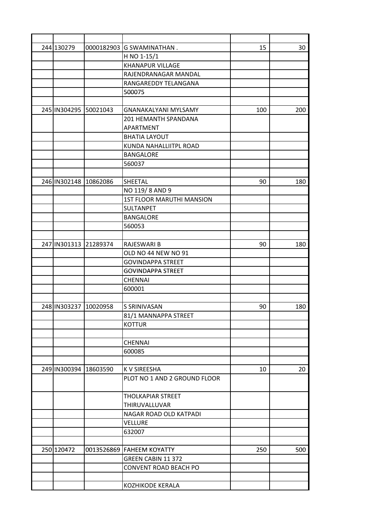| 244 130279            | 0000182903 G SWAMINATHAN.        | 15  | 30  |
|-----------------------|----------------------------------|-----|-----|
|                       | H NO 1-15/1                      |     |     |
|                       | <b>KHANAPUR VILLAGE</b>          |     |     |
|                       | RAJENDRANAGAR MANDAL             |     |     |
|                       | RANGAREDDY TELANGANA             |     |     |
|                       | 500075                           |     |     |
|                       |                                  |     |     |
| 245 IN304295 50021043 | <b>GNANAKALYANI MYLSAMY</b>      | 100 | 200 |
|                       | 201 HEMANTH SPANDANA             |     |     |
|                       | APARTMENT                        |     |     |
|                       | <b>BHATIA LAYOUT</b>             |     |     |
|                       | KUNDA NAHALLIITPL ROAD           |     |     |
|                       | <b>BANGALORE</b>                 |     |     |
|                       | 560037                           |     |     |
|                       |                                  |     |     |
| 246 IN302148 10862086 | <b>SHEETAL</b>                   | 90  | 180 |
|                       | NO 119/8 AND 9                   |     |     |
|                       | <b>1ST FLOOR MARUTHI MANSION</b> |     |     |
|                       | SULTANPET                        |     |     |
|                       | <b>BANGALORE</b>                 |     |     |
|                       | 560053                           |     |     |
|                       |                                  |     |     |
| 247 IN301313 21289374 | RAJESWARI B                      | 90  | 180 |
|                       | OLD NO 44 NEW NO 91              |     |     |
|                       | <b>GOVINDAPPA STREET</b>         |     |     |
|                       | <b>GOVINDAPPA STREET</b>         |     |     |
|                       | <b>CHENNAI</b>                   |     |     |
|                       | 600001                           |     |     |
|                       |                                  |     |     |
| 248 IN303237 10020958 | S SRINIVASAN                     | 90  | 180 |
|                       | 81/1 MANNAPPA STREET             |     |     |
|                       | <b>KOTTUR</b>                    |     |     |
|                       |                                  |     |     |
|                       | <b>CHENNAI</b>                   |     |     |
|                       | 600085                           |     |     |
|                       |                                  |     |     |
| 249 IN300394 18603590 | <b>KV SIREESHA</b>               | 10  | 20  |
|                       | PLOT NO 1 AND 2 GROUND FLOOR     |     |     |
|                       |                                  |     |     |
|                       | <b>THOLKAPIAR STREET</b>         |     |     |
|                       | THIRUVALLUVAR                    |     |     |
|                       | NAGAR ROAD OLD KATPADI           |     |     |
|                       | <b>VELLURE</b>                   |     |     |
|                       | 632007                           |     |     |
|                       |                                  |     |     |
| 250 120472            | 0013526869 FAHEEM KOYATTY        | 250 | 500 |
|                       | GREEN CABIN 11 372               |     |     |
|                       | CONVENT ROAD BEACH PO            |     |     |
|                       |                                  |     |     |
|                       | KOZHIKODE KERALA                 |     |     |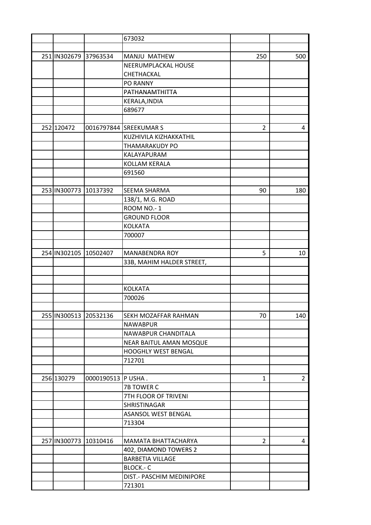|  |                       |                       | 673032                     |                |                |
|--|-----------------------|-----------------------|----------------------------|----------------|----------------|
|  |                       |                       |                            |                |                |
|  | 251 IN302679 37963534 |                       | MANJU MATHEW               | 250            | 500            |
|  |                       |                       | NEERUMPLACKAL HOUSE        |                |                |
|  |                       |                       | CHETHACKAL                 |                |                |
|  |                       |                       | <b>PO RANNY</b>            |                |                |
|  |                       |                       | PATHANAMTHITTA             |                |                |
|  |                       |                       | KERALA, INDIA              |                |                |
|  |                       |                       | 689677                     |                |                |
|  |                       |                       |                            |                |                |
|  | 252 120472            |                       | 0016797844 SREEKUMAR S     | $\overline{2}$ | 4              |
|  |                       |                       | KUZHIVILA KIZHAKKATHIL     |                |                |
|  |                       |                       | <b>THAMARAKUDY PO</b>      |                |                |
|  |                       |                       | KALAYAPURAM                |                |                |
|  |                       |                       | KOLLAM KERALA              |                |                |
|  |                       |                       | 691560                     |                |                |
|  |                       |                       |                            |                |                |
|  | 253 IN300773 10137392 |                       | SEEMA SHARMA               | 90             | 180            |
|  |                       |                       | 138/1, M.G. ROAD           |                |                |
|  |                       |                       | ROOM NO.-1                 |                |                |
|  |                       |                       | <b>GROUND FLOOR</b>        |                |                |
|  |                       |                       | <b>KOLKATA</b>             |                |                |
|  |                       |                       | 700007                     |                |                |
|  |                       |                       |                            |                |                |
|  | 254 IN302105 10502407 |                       | <b>MANABENDRA ROY</b>      | 5              | 10             |
|  |                       |                       | 33B, MAHIM HALDER STREET,  |                |                |
|  |                       |                       |                            |                |                |
|  |                       |                       |                            |                |                |
|  |                       |                       | <b>KOLKATA</b>             |                |                |
|  |                       |                       | 700026                     |                |                |
|  |                       |                       |                            |                |                |
|  | 255 IN300513 20532136 |                       | SEKH MOZAFFAR RAHMAN       | 70             | 140            |
|  |                       |                       | <b>NAWABPUR</b>            |                |                |
|  |                       |                       | NAWABPUR CHANDITALA        |                |                |
|  |                       |                       | NEAR BAITUL AMAN MOSQUE    |                |                |
|  |                       |                       | <b>HOOGHLY WEST BENGAL</b> |                |                |
|  |                       |                       | 712701                     |                |                |
|  |                       |                       |                            |                |                |
|  | 256 130279            | 0000190513 P USHA.    |                            | $\mathbf{1}$   | $\overline{2}$ |
|  |                       |                       | 7B TOWER C                 |                |                |
|  |                       |                       | 7TH FLOOR OF TRIVENI       |                |                |
|  |                       |                       | SHRISTINAGAR               |                |                |
|  |                       |                       | ASANSOL WEST BENGAL        |                |                |
|  |                       |                       | 713304                     |                |                |
|  |                       |                       |                            |                |                |
|  |                       | 257 IN300773 10310416 | MAMATA BHATTACHARYA        | $\overline{2}$ | 4              |
|  |                       |                       | 402, DIAMOND TOWERS 2      |                |                |
|  |                       |                       | <b>BARBETIA VILLAGE</b>    |                |                |
|  |                       |                       | BLOCK .- C                 |                |                |
|  |                       |                       | DIST.- PASCHIM MEDINIPORE  |                |                |
|  |                       |                       | 721301                     |                |                |
|  |                       |                       |                            |                |                |